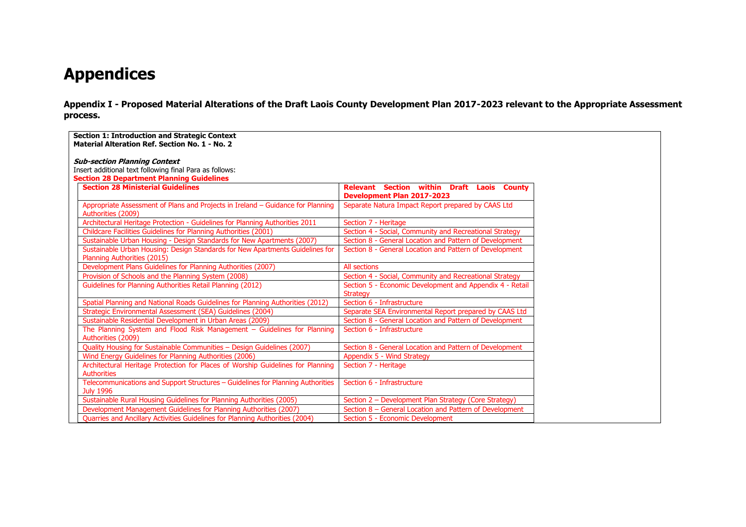# **Appendices**

**Appendix I - Proposed Material Alterations of the Draft Laois County Development Plan 2017-2023 relevant to the Appropriate Assessment process.**

| <b>Section 1: Introduction and Strategic Context</b><br>Material Alteration Ref. Section No. 1 - No. 2       |                                                                                        |  |  |
|--------------------------------------------------------------------------------------------------------------|----------------------------------------------------------------------------------------|--|--|
| <b>Sub-section Planning Context</b><br>Insert additional text following final Para as follows:               |                                                                                        |  |  |
| <b>Section 28 Department Planning Guidelines</b>                                                             |                                                                                        |  |  |
| <b>Section 28 Ministerial Guidelines</b>                                                                     | <b>Relevant Section within Draft Laois County</b><br><b>Development Plan 2017-2023</b> |  |  |
| Appropriate Assessment of Plans and Projects in Ireland – Guidance for Planning<br>Authorities (2009)        | Separate Natura Impact Report prepared by CAAS Ltd                                     |  |  |
| Architectural Heritage Protection - Guidelines for Planning Authorities 2011                                 | Section 7 - Heritage                                                                   |  |  |
| <b>Childcare Facilities Guidelines for Planning Authorities (2001)</b>                                       | Section 4 - Social, Community and Recreational Strategy                                |  |  |
| Sustainable Urban Housing - Design Standards for New Apartments (2007)                                       | Section 8 - General Location and Pattern of Development                                |  |  |
| Sustainable Urban Housing: Design Standards for New Apartments Guidelines for<br>Planning Authorities (2015) | Section 8 - General Location and Pattern of Development                                |  |  |
| Development Plans Guidelines for Planning Authorities (2007)                                                 | All sections                                                                           |  |  |
| Provision of Schools and the Planning System (2008)                                                          | Section 4 - Social, Community and Recreational Strategy                                |  |  |
| Guidelines for Planning Authorities Retail Planning (2012)                                                   | Section 5 - Economic Development and Appendix 4 - Retail<br><b>Strategy</b>            |  |  |
| Spatial Planning and National Roads Guidelines for Planning Authorities (2012)                               | Section 6 - Infrastructure                                                             |  |  |
| Strategic Environmental Assessment (SEA) Guidelines (2004)                                                   | Separate SEA Environmental Report prepared by CAAS Ltd                                 |  |  |
| Sustainable Residential Development in Urban Areas (2009)                                                    | Section 8 - General Location and Pattern of Development                                |  |  |
| The Planning System and Flood Risk Management - Guidelines for Planning<br>Authorities (2009)                | Section 6 - Infrastructure                                                             |  |  |
| Quality Housing for Sustainable Communities - Design Guidelines (2007)                                       | Section 8 - General Location and Pattern of Development                                |  |  |
| Wind Energy Guidelines for Planning Authorities (2006)                                                       | Appendix 5 - Wind Strategy                                                             |  |  |
| Architectural Heritage Protection for Places of Worship Guidelines for Planning<br><b>Authorities</b>        | Section 7 - Heritage                                                                   |  |  |
| Telecommunications and Support Structures - Guidelines for Planning Authorities<br><b>July 1996</b>          | Section 6 - Infrastructure                                                             |  |  |
| Sustainable Rural Housing Guidelines for Planning Authorities (2005)                                         | Section 2 - Development Plan Strategy (Core Strategy)                                  |  |  |
| Development Management Guidelines for Planning Authorities (2007)                                            | Section 8 – General Location and Pattern of Development                                |  |  |
| Quarries and Ancillary Activities Guidelines for Planning Authorities (2004)                                 | Section 5 - Economic Development                                                       |  |  |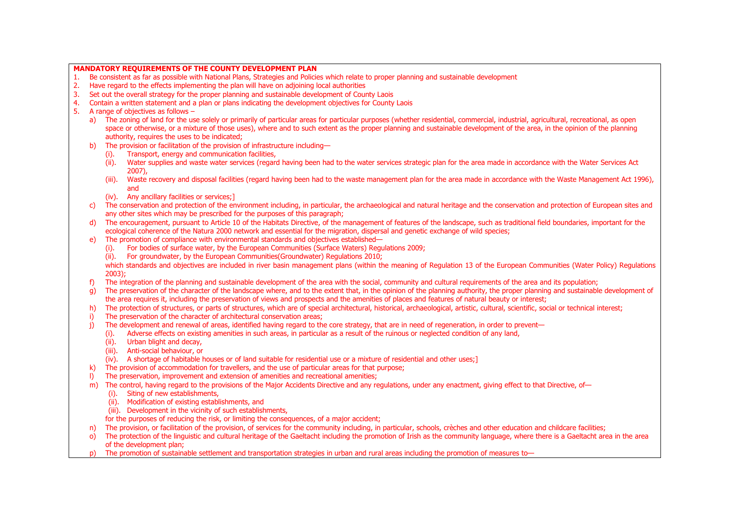|    |                                                                                           | MANDATORY REQUIREMENTS OF THE COUNTY DEVELOPMENT PLAN                                                                                                                                                                                                                                                                                                                                                         |  |  |  |
|----|-------------------------------------------------------------------------------------------|---------------------------------------------------------------------------------------------------------------------------------------------------------------------------------------------------------------------------------------------------------------------------------------------------------------------------------------------------------------------------------------------------------------|--|--|--|
| 1. |                                                                                           | Be consistent as far as possible with National Plans, Strategies and Policies which relate to proper planning and sustainable development                                                                                                                                                                                                                                                                     |  |  |  |
| 2. | Have regard to the effects implementing the plan will have on adjoining local authorities |                                                                                                                                                                                                                                                                                                                                                                                                               |  |  |  |
| 3. |                                                                                           | Set out the overall strategy for the proper planning and sustainable development of County Laois                                                                                                                                                                                                                                                                                                              |  |  |  |
| 4. |                                                                                           | Contain a written statement and a plan or plans indicating the development objectives for County Laois                                                                                                                                                                                                                                                                                                        |  |  |  |
| 5. |                                                                                           | A range of objectives as follows $-$                                                                                                                                                                                                                                                                                                                                                                          |  |  |  |
|    | a)                                                                                        | The zoning of land for the use solely or primarily of particular areas for particular purposes (whether residential, commercial, industrial, agricultural, recreational, as open<br>space or otherwise, or a mixture of those uses), where and to such extent as the proper planning and sustainable development of the area, in the opinion of the planning<br>authority, requires the uses to be indicated; |  |  |  |
|    | b)                                                                                        | The provision or facilitation of the provision of infrastructure including-                                                                                                                                                                                                                                                                                                                                   |  |  |  |
|    |                                                                                           | (i). Transport, energy and communication facilities,                                                                                                                                                                                                                                                                                                                                                          |  |  |  |
|    |                                                                                           | Water supplies and waste water services (regard having been had to the water services strategic plan for the area made in accordance with the Water Services Act<br>(ii).                                                                                                                                                                                                                                     |  |  |  |
|    |                                                                                           | $2007$ ).                                                                                                                                                                                                                                                                                                                                                                                                     |  |  |  |
|    |                                                                                           | Waste recovery and disposal facilities (regard having been had to the waste management plan for the area made in accordance with the Waste Management Act 1996),<br>$(iii)$ .                                                                                                                                                                                                                                 |  |  |  |
|    |                                                                                           | and                                                                                                                                                                                                                                                                                                                                                                                                           |  |  |  |
|    |                                                                                           | (iv). Any ancillary facilities or services;]                                                                                                                                                                                                                                                                                                                                                                  |  |  |  |
|    | C)                                                                                        | The conservation and protection of the environment including, in particular, the archaeological and natural heritage and the conservation and protection of European sites and<br>any other sites which may be prescribed for the purposes of this paragraph;                                                                                                                                                 |  |  |  |
|    | d)                                                                                        | The encouragement, pursuant to Article 10 of the Habitats Directive, of the management of features of the landscape, such as traditional field boundaries, important for the                                                                                                                                                                                                                                  |  |  |  |
|    |                                                                                           | ecological coherence of the Natura 2000 network and essential for the migration, dispersal and genetic exchange of wild species;                                                                                                                                                                                                                                                                              |  |  |  |
|    | e)                                                                                        | The promotion of compliance with environmental standards and objectives established—                                                                                                                                                                                                                                                                                                                          |  |  |  |
|    |                                                                                           | For bodies of surface water, by the European Communities (Surface Waters) Regulations 2009;<br>(i).                                                                                                                                                                                                                                                                                                           |  |  |  |
|    |                                                                                           | For groundwater, by the European Communities (Groundwater) Regulations 2010;<br>(ii).                                                                                                                                                                                                                                                                                                                         |  |  |  |
|    |                                                                                           | which standards and objectives are included in river basin management plans (within the meaning of Regulation 13 of the European Communities (Water Policy) Regulations                                                                                                                                                                                                                                       |  |  |  |
|    |                                                                                           | 2003);                                                                                                                                                                                                                                                                                                                                                                                                        |  |  |  |
|    | f)                                                                                        | The integration of the planning and sustainable development of the area with the social, community and cultural requirements of the area and its population;                                                                                                                                                                                                                                                  |  |  |  |
|    | q)                                                                                        | The preservation of the character of the landscape where, and to the extent that, in the opinion of the planning authority, the proper planning and sustainable development of                                                                                                                                                                                                                                |  |  |  |
|    |                                                                                           | the area requires it, including the preservation of views and prospects and the amenities of places and features of natural beauty or interest;                                                                                                                                                                                                                                                               |  |  |  |
|    | h)                                                                                        | The protection of structures, or parts of structures, which are of special architectural, historical, archaeological, artistic, cultural, scientific, social or technical interest;                                                                                                                                                                                                                           |  |  |  |
|    | i)                                                                                        | The preservation of the character of architectural conservation areas:                                                                                                                                                                                                                                                                                                                                        |  |  |  |
|    | $\mathbf{i}$                                                                              | The development and renewal of areas, identified having regard to the core strategy, that are in need of regeneration, in order to prevent-                                                                                                                                                                                                                                                                   |  |  |  |
|    |                                                                                           | Adverse effects on existing amenities in such areas, in particular as a result of the ruinous or neglected condition of any land,<br>(i).                                                                                                                                                                                                                                                                     |  |  |  |
|    |                                                                                           | (ii). Urban blight and decay,                                                                                                                                                                                                                                                                                                                                                                                 |  |  |  |
|    |                                                                                           | (iii). Anti-social behaviour, or                                                                                                                                                                                                                                                                                                                                                                              |  |  |  |
|    |                                                                                           | (iv). A shortage of habitable houses or of land suitable for residential use or a mixture of residential and other uses;]                                                                                                                                                                                                                                                                                     |  |  |  |
|    | k)                                                                                        | The provision of accommodation for travellers, and the use of particular areas for that purpose;                                                                                                                                                                                                                                                                                                              |  |  |  |
|    | $\mathbf{D}$                                                                              | The preservation, improvement and extension of amenities and recreational amenities;<br>The control, having regard to the provisions of the Major Accidents Directive and any regulations, under any enactment, giving effect to that Directive, of-                                                                                                                                                          |  |  |  |
|    | m)                                                                                        | (i). Siting of new establishments,                                                                                                                                                                                                                                                                                                                                                                            |  |  |  |
|    |                                                                                           | (ii). Modification of existing establishments, and                                                                                                                                                                                                                                                                                                                                                            |  |  |  |
|    |                                                                                           | (iii). Development in the vicinity of such establishments,                                                                                                                                                                                                                                                                                                                                                    |  |  |  |
|    |                                                                                           | for the purposes of reducing the risk, or limiting the consequences, of a major accident;                                                                                                                                                                                                                                                                                                                     |  |  |  |
|    | n)                                                                                        | The provision, or facilitation of the provision, of services for the community including, in particular, schools, crèches and other education and childcare facilities;                                                                                                                                                                                                                                       |  |  |  |
|    | $\circ$                                                                                   | The protection of the linguistic and cultural heritage of the Gaeltacht including the promotion of Irish as the community language, where there is a Gaeltacht area in the area                                                                                                                                                                                                                               |  |  |  |
|    |                                                                                           | of the development plan;                                                                                                                                                                                                                                                                                                                                                                                      |  |  |  |
|    |                                                                                           | The promotion of sustainable settlement and transportation strategies in urban and rural areas including the promotion of measures to-                                                                                                                                                                                                                                                                        |  |  |  |
|    |                                                                                           |                                                                                                                                                                                                                                                                                                                                                                                                               |  |  |  |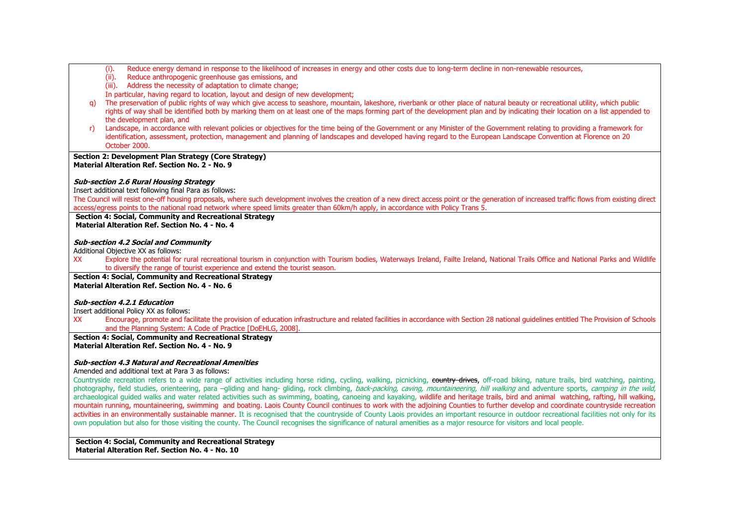- (i). Reduce energy demand in response to the likelihood of increases in energy and other costs due to long-term decline in non-renewable resources,
- (ii). Reduce anthropogenic greenhouse gas emissions, and
- (iii). Address the necessity of adaptation to climate change;

In particular, having regard to location, layout and design of new development;

- q) The preservation of public rights of way which give access to seashore, mountain, lakeshore, riverbank or other place of natural beauty or recreational utility, which public rights of way shall be identified both by marking them on at least one of the maps forming part of the development plan and by indicating their location on a list appended to the development plan, and
- r) Landscape, in accordance with relevant policies or objectives for the time being of the Government or any Minister of the Government relating to providing a framework for identification, assessment, protection, management and planning of landscapes and developed having regard to the European Landscape Convention at Florence on 20 October 2000.

## **Section 2: Development Plan Strategy (Core Strategy) Material Alteration Ref. Section No. 2 - No. 9**

#### **Sub-section 2.6 Rural Housing Strategy**

Insert additional text following final Para as follows:

The Council will resist one-off housing proposals, where such development involves the creation of a new direct access point or the generation of increased traffic flows from existing direct access/egress points to the national road network where speed limits greater than 60km/h apply, in accordance with Policy Trans 5.

**Section 4: Social, Community and Recreational Strategy Material Alteration Ref. Section No. 4 - No. 4**

#### **Sub-section 4.2 Social and Community**

Additional Objective XX as follows:

XX Explore the potential for rural recreational tourism in conjunction with Tourism bodies, Waterways Ireland, Failte Ireland, National Trails Office and National Parks and Wildlife to diversify the range of tourist experience and extend the tourist season.

**Section 4: Social, Community and Recreational Strategy Material Alteration Ref. Section No. 4 - No. 6**

#### **Sub-section 4.2.1 Education**

Insert additional Policy XX as follows:

XX Encourage, promote and facilitate the provision of education infrastructure and related facilities in accordance with Section 28 national guidelines entitled The Provision of Schools and the Planning System: A Code of Practice [DoEHLG, 2008].

#### **Section 4: Social, Community and Recreational Strategy Material Alteration Ref. Section No. 4 - No. 9**

#### **Sub-section 4.3 Natural and Recreational Amenities**

Amended and additional text at Para 3 as follows:

Countryside recreation refers to a wide range of activities including horse riding, cycling, walking, picnicking, country drives, off-road biking, nature trails, bird watching, painting, photography, field studies, orienteering, para -gliding and hang- gliding, rock climbing, back-packing, caving, mountaineering, hill walking and adventure sports, camping in the wild, archaeological guided walks and water related activities such as swimming, boating, canoeing and kayaking, wildlife and heritage trails, bird and animal watching, rafting, hill walking, mountain running, mountaineering, swimming and boating. Laois County Council continues to work with the adjoining Counties to further develop and coordinate countryside recreation activities in an environmentally sustainable manner. It is recognised that the countryside of County Laois provides an important resource in outdoor recreational facilities not only for its own population but also for those visiting the county. The Council recognises the significance of natural amenities as a major resource for visitors and local people.

**Section 4: Social, Community and Recreational Strategy Material Alteration Ref. Section No. 4 - No. 10**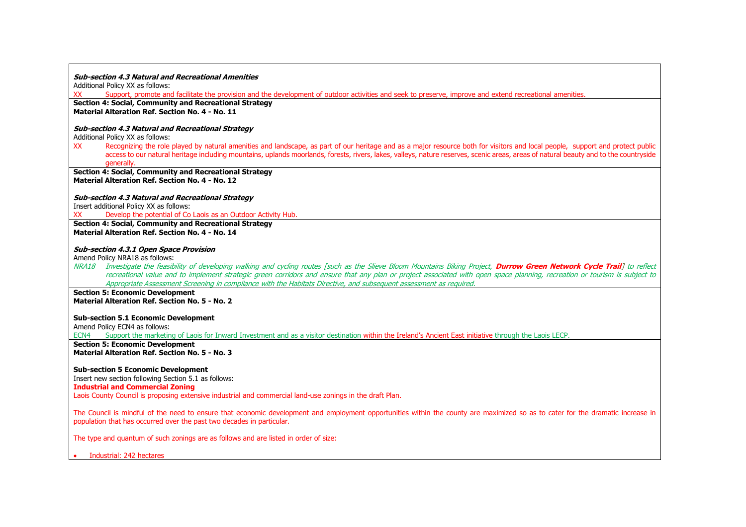#### **Sub-section 4.3 Natural and Recreational Amenities**

Additional Policy XX as follows:

XX Support, promote and facilitate the provision and the development of outdoor activities and seek to preserve, improve and extend recreational amenities.

**Section 4: Social, Community and Recreational Strategy Material Alteration Ref. Section No. 4 - No. 11**

#### **Sub-section 4.3 Natural and Recreational Strategy**

Additional Policy XX as follows:

XX Recognizing the role played by natural amenities and landscape, as part of our heritage and as a major resource both for visitors and local people, support and protect public access to our natural heritage including mountains, uplands moorlands, forests, rivers, lakes, valleys, nature reserves, scenic areas, areas of natural beauty and to the countryside generally.

**Section 4: Social, Community and Recreational Strategy Material Alteration Ref. Section No. 4 - No. 12**

**Sub-section 4.3 Natural and Recreational Strategy**

Insert additional Policy XX as follows:<br>XX Develop the potential of Co

Develop the potential of Co Laois as an Outdoor Activity Hub.

**Section 4: Social, Community and Recreational Strategy Material Alteration Ref. Section No. 4 - No. 14**

#### **Sub-section 4.3.1 Open Space Provision**

Amend Policy NRA18 as follows:

NRA18 Investigate the feasibility of developing walking and cycling routes [such as the Slieve Bloom Mountains Biking Project, **Durrow Green Network Cycle Trail**] to reflect recreational value and to implement strategic green corridors and ensure that any plan or project associated with open space planning, recreation or tourism is subject to Appropriate Assessment Screening in compliance with the Habitats Directive, and subsequent assessment as required.

**Section 5: Economic Development Material Alteration Ref. Section No. 5 - No. 2**

#### **Sub-section 5.1 Economic Development**

Amend Policy ECN4 as follows:

ECN4 Support the marketing of Laois for Inward Investment and as a visitor destination within the Ireland's Ancient East initiative through the Laois LECP.

**Section 5: Economic Development Material Alteration Ref. Section No. 5 - No. 3**

#### **Sub-section 5 Economic Development**

Insert new section following Section 5.1 as follows: **Industrial and Commercial Zoning**

Laois County Council is proposing extensive industrial and commercial land-use zonings in the draft Plan.

The Council is mindful of the need to ensure that economic development and employment opportunities within the county are maximized so as to cater for the dramatic increase in population that has occurred over the past two decades in particular.

The type and quantum of such zonings are as follows and are listed in order of size:

• Industrial: 242 hectares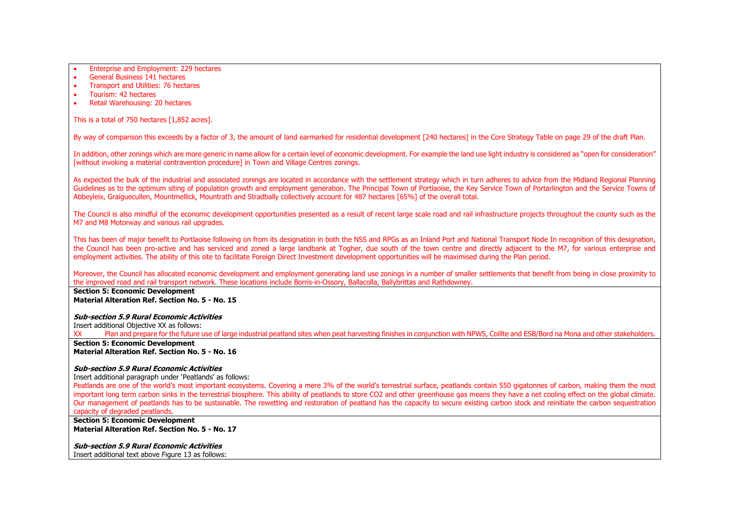• Enterprise and Employment: 229 hectares

- General Business 141 hectares
- Transport and Utilities: 76 hectares
- Tourism: 42 hectares
- Retail Warehousing: 20 hectares

This is a total of 750 hectares [1,852 acres].

By way of comparison this exceeds by a factor of 3, the amount of land earmarked for residential development [240 hectares] in the Core Strategy Table on page 29 of the draft Plan.

In addition, other zonings which are more generic in name allow for a certain level of economic development. For example the land use light industry is considered as "open for consideration" [without invoking a material contravention procedure] in Town and Village Centres zonings.

As expected the bulk of the industrial and associated zonings are located in accordance with the settlement strategy which in turn adheres to advice from the Midland Regional Planning Guidelines as to the optimum siting of population growth and employment generation. The Principal Town of Portlaoise, the Key Service Town of Portarlington and the Service Towns of Abbeyleix, Graiguecullen, Mountmellick, Mountrath and Stradbally collectively account for 487 hectares [65%] of the overall total.

The Council is also mindful of the economic development opportunities presented as a result of recent large scale road and rail infrastructure projects throughout the county such as the M7 and M8 Motorway and various rail upgrades.

This has been of major benefit to Portlaoise following on from its designation in both the NSS and RPGs as an Inland Port and National Transport Node In recognition of this designation, the Council has been pro-active and has serviced and zoned a large landbank at Togher, due south of the town centre and directly adjacent to the M7, for various enterprise and employment activities. The ability of this site to facilitate Foreign Direct Investment development opportunities will be maximised during the Plan period.

Moreover, the Council has allocated economic development and employment generating land use zonings in a number of smaller settlements that benefit from being in close proximity to the improved road and rail transport network. These locations include Borris-in-Ossory, Ballacolla, Ballybrittas and Rathdowney.

**Section 5: Economic Development Material Alteration Ref. Section No. 5 - No. 15**

**Sub-section 5.9 Rural Economic Activities**

Insert additional Objective XX as follows:

XX Plan and prepare for the future use of large industrial peatland sites when peat harvesting finishes in conjunction with NPWS, Coillte and ESB/Bord na Mona and other stakeholders. **Section 5: Economic Development**

**Material Alteration Ref. Section No. 5 - No. 16**

#### **Sub-section 5.9 Rural Economic Activities**

Insert additional paragraph under 'Peatlands' as follows:

Peatlands are one of the world's most important ecosystems. Covering a mere 3% of the world's terrestrial surface, peatlands contain 550 gigatonnes of carbon, making them the most important long term carbon sinks in the terrestrial biosphere. This ability of peatlands to store CO2 and other greenhouse gas means they have a net cooling effect on the global climate. Our management of peatlands has to be sustainable. The rewetting and restoration of peatland has the capacity to secure existing carbon stock and reinitiate the carbon sequestration capacity of degraded peatlands.

**Section 5: Economic Development Material Alteration Ref. Section No. 5 - No. 17**

**Sub-section 5.9 Rural Economic Activities** Insert additional text above Figure 13 as follows: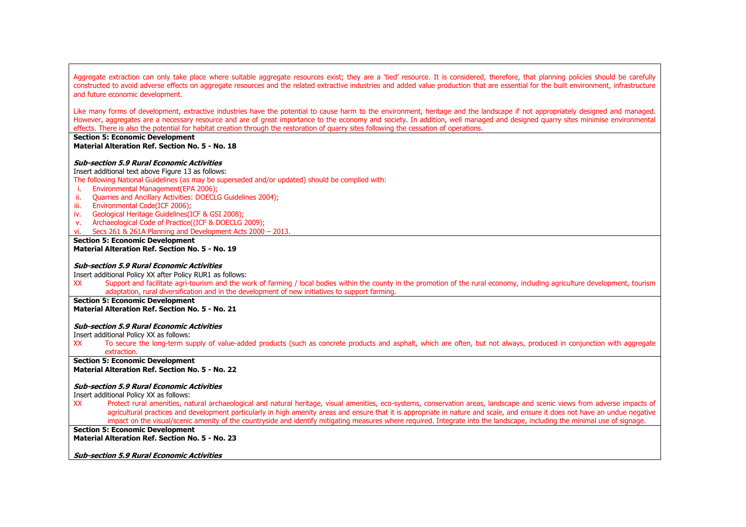Aggregate extraction can only take place where suitable aggregate resources exist; they are a 'tied' resource. It is considered, therefore, that planning policies should be carefully constructed to avoid adverse effects on aggregate resources and the related extractive industries and added value production that are essential for the built environment, infrastructure and future economic development.

Like many forms of development, extractive industries have the potential to cause harm to the environment, heritage and the landscape if not appropriately designed and managed. However, aggregates are a necessary resource and are of great importance to the economy and society. In addition, well managed and designed quarry sites minimise environmental effects. There is also the potential for habitat creation through the restoration of quarry sites following the cessation of operations.

#### **Section 5: Economic Development Material Alteration Ref. Section No. 5 - No. 18**

#### **Sub-section 5.9 Rural Economic Activities**

Insert additional text above Figure 13 as follows: The following National Guidelines (as may be superseded and/or updated) should be complied with:

- i. Environmental Management(EPA 2006);
- ii. Quarries and Ancillary Activities: DOECLG Guidelines 2004);
- iii. Environmental Code(ICF 2006);
- iv. Geological Heritage Guidelines(ICF & GSI 2008);
- v. Archaeological Code of Practice((ICF & DOECLG 2009);
- vi. Secs 261 & 261A Planning and Development Acts 2000 2013.
- **Section 5: Economic Development Material Alteration Ref. Section No. 5 - No. 19**

#### **Sub-section 5.9 Rural Economic Activities**

Insert additional Policy XX after Policy RUR1 as follows:

XX Support and facilitate agri-tourism and the work of farming / local bodies within the county in the promotion of the rural economy, including agriculture development, tourism adaptation, rural diversification and in the development of new initiatives to support farming.

#### **Section 5: Economic Development Material Alteration Ref. Section No. 5 - No. 21**

# **Sub-section 5.9 Rural Economic Activities**

Insert additional Policy XX as follows:

XX To secure the long-term supply of value-added products (such as concrete products and asphalt, which are often, but not always, produced in conjunction with aggregate extraction.

**Section 5: Economic Development Material Alteration Ref. Section No. 5 - No. 22**

#### **Sub-section 5.9 Rural Economic Activities**

Insert additional Policy XX as follows:

XX Protect rural amenities, natural archaeological and natural heritage, visual amenities, eco-systems, conservation areas, landscape and scenic views from adverse impacts of agricultural practices and development particularly in high amenity areas and ensure that it is appropriate in nature and scale, and ensure it does not have an undue negative impact on the visual/scenic amenity of the countryside and identify mitigating measures where required. Integrate into the landscape, including the minimal use of signage.

#### **Section 5: Economic Development Material Alteration Ref. Section No. 5 - No. 23**

**Sub-section 5.9 Rural Economic Activities**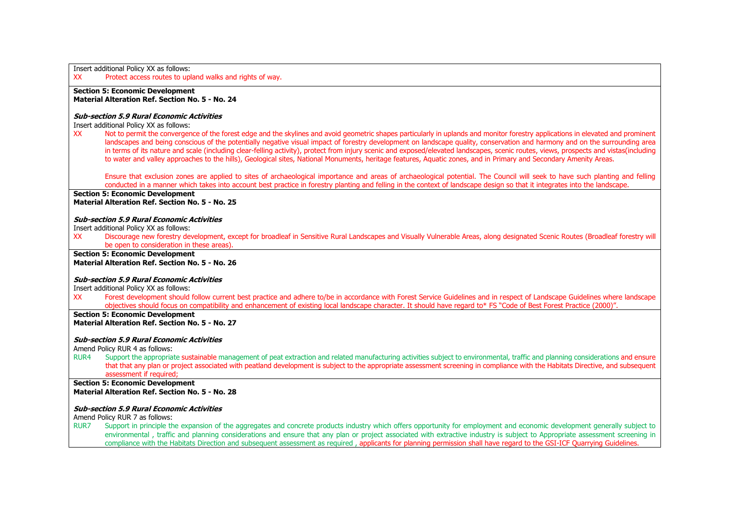| Insert additional Policy XX as follows:<br>Protect access routes to upland walks and rights of way.<br>XX                                                                                                                                                                                                                                                                                                                                                                                                                                           |  |
|-----------------------------------------------------------------------------------------------------------------------------------------------------------------------------------------------------------------------------------------------------------------------------------------------------------------------------------------------------------------------------------------------------------------------------------------------------------------------------------------------------------------------------------------------------|--|
| <b>Section 5: Economic Development</b><br>Material Alteration Ref. Section No. 5 - No. 24                                                                                                                                                                                                                                                                                                                                                                                                                                                           |  |
| <b>Sub-section 5.9 Rural Economic Activities</b>                                                                                                                                                                                                                                                                                                                                                                                                                                                                                                    |  |
| Insert additional Policy XX as follows:<br>Not to permit the convergence of the forest edge and the skylines and avoid geometric shapes particularly in uplands and monitor forestry applications in elevated and prominent<br>XX                                                                                                                                                                                                                                                                                                                   |  |
| landscapes and being conscious of the potentially negative visual impact of forestry development on landscape quality, conservation and harmony and on the surrounding area<br>in terms of its nature and scale (including clear-felling activity), protect from injury scenic and exposed/elevated landscapes, scenic routes, views, prospects and vistas(including<br>to water and valley approaches to the hills), Geological sites, National Monuments, heritage features, Aquatic zones, and in Primary and Secondary Amenity Areas.           |  |
| Ensure that exclusion zones are applied to sites of archaeological importance and areas of archaeological potential. The Council will seek to have such planting and felling<br>conducted in a manner which takes into account best practice in forestry planting and felling in the context of landscape design so that it integrates into the landscape.                                                                                                                                                                                          |  |
| <b>Section 5: Economic Development</b>                                                                                                                                                                                                                                                                                                                                                                                                                                                                                                              |  |
| Material Alteration Ref. Section No. 5 - No. 25                                                                                                                                                                                                                                                                                                                                                                                                                                                                                                     |  |
| <b>Sub-section 5.9 Rural Economic Activities</b>                                                                                                                                                                                                                                                                                                                                                                                                                                                                                                    |  |
| Insert additional Policy XX as follows:                                                                                                                                                                                                                                                                                                                                                                                                                                                                                                             |  |
| <b>XX</b><br>Discourage new forestry development, except for broadleaf in Sensitive Rural Landscapes and Visually Vulnerable Areas, along designated Scenic Routes (Broadleaf forestry will<br>be open to consideration in these areas)                                                                                                                                                                                                                                                                                                             |  |
| <b>Section 5: Economic Development</b>                                                                                                                                                                                                                                                                                                                                                                                                                                                                                                              |  |
| Material Alteration Ref. Section No. 5 - No. 26                                                                                                                                                                                                                                                                                                                                                                                                                                                                                                     |  |
| <b>Sub-section 5.9 Rural Economic Activities</b>                                                                                                                                                                                                                                                                                                                                                                                                                                                                                                    |  |
| Insert additional Policy XX as follows:                                                                                                                                                                                                                                                                                                                                                                                                                                                                                                             |  |
| Forest development should follow current best practice and adhere to/be in accordance with Forest Service Guidelines and in respect of Landscape Guidelines where landscape<br><b>XX</b><br>objectives should focus on compatibility and enhancement of existing local landscape character. It should have regard to* FS "Code of Best Forest Practice (2000)".                                                                                                                                                                                     |  |
| <b>Section 5: Economic Development</b><br>Material Alteration Ref. Section No. 5 - No. 27                                                                                                                                                                                                                                                                                                                                                                                                                                                           |  |
|                                                                                                                                                                                                                                                                                                                                                                                                                                                                                                                                                     |  |
| <b>Sub-section 5.9 Rural Economic Activities</b><br>Amend Policy RUR 4 as follows:                                                                                                                                                                                                                                                                                                                                                                                                                                                                  |  |
| Support the appropriate sustainable management of peat extraction and related manufacturing activities subject to environmental, traffic and planning considerations and ensure<br>RUR <sub>4</sub>                                                                                                                                                                                                                                                                                                                                                 |  |
| that that any plan or project associated with peatland development is subject to the appropriate assessment screening in compliance with the Habitats Directive, and subsequent<br>assessment if required:                                                                                                                                                                                                                                                                                                                                          |  |
| <b>Section 5: Economic Development</b>                                                                                                                                                                                                                                                                                                                                                                                                                                                                                                              |  |
| Material Alteration Ref. Section No. 5 - No. 28                                                                                                                                                                                                                                                                                                                                                                                                                                                                                                     |  |
| <b>Sub-section 5.9 Rural Economic Activities</b>                                                                                                                                                                                                                                                                                                                                                                                                                                                                                                    |  |
| Amend Policy RUR 7 as follows:                                                                                                                                                                                                                                                                                                                                                                                                                                                                                                                      |  |
| Support in principle the expansion of the aggregates and concrete products industry which offers opportunity for employment and economic development generally subject to<br><b>RUR7</b><br>environmental, traffic and planning considerations and ensure that any plan or project associated with extractive industry is subject to Appropriate assessment screening in<br>compliance with the Habitats Direction and subsequent assessment as required, applicants for planning permission shall have regard to the GSI-ICF Quarrying Guidelines. |  |
|                                                                                                                                                                                                                                                                                                                                                                                                                                                                                                                                                     |  |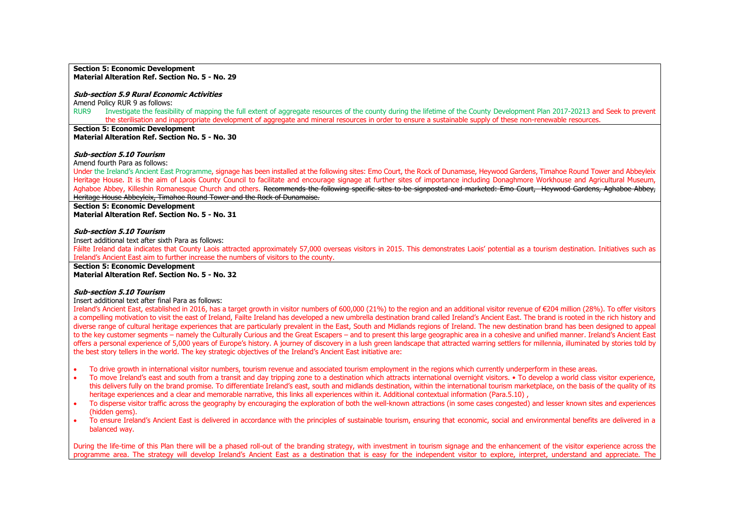#### **Section 5: Economic Development Material Alteration Ref. Section No. 5 - No. 29**

#### **Sub-section 5.9 Rural Economic Activities**

Amend Policy RUR 9 as follows:

RUR9 Investigate the feasibility of mapping the full extent of aggregate resources of the county during the lifetime of the County Development Plan 2017-20213 and Seek to prevent the sterilisation and inappropriate development of aggregate and mineral resources in order to ensure a sustainable supply of these non-renewable resources.

**Section 5: Economic Development Material Alteration Ref. Section No. 5 - No. 30**

#### **Sub-section 5.10 Tourism**

Amend fourth Para as follows:

Under the Ireland's Ancient East Programme, signage has been installed at the following sites: Emo Court, the Rock of Dunamase, Heywood Gardens, Timahoe Round Tower and Abbeyleix Heritage House. It is the aim of Laois County Council to facilitate and encourage signage at further sites of importance including Donaghmore Workhouse and Agricultural Museum, Aghaboe Abbey, Killeshin Romanesque Church and others. Recommends the following specific sites to be signposted and marketed: Emo Court, Heywood Gardens, Aghaboe Abbey, Heritage House Abbeyleix, Timahoe Round Tower and the Rock of Dunamaise.

**Section 5: Economic Development Material Alteration Ref. Section No. 5 - No. 31**

#### **Sub-section 5.10 Tourism**

Insert additional text after sixth Para as follows:

Fáilte Ireland data indicates that County Laois attracted approximately 57,000 overseas visitors in 2015. This demonstrates Laois' potential as a tourism destination. Initiatives such as Ireland's Ancient East aim to further increase the numbers of visitors to the county.

**Section 5: Economic Development**

**Material Alteration Ref. Section No. 5 - No. 32**

#### **Sub-section 5.10 Tourism**

Insert additional text after final Para as follows:

Ireland's Ancient East, established in 2016, has a target growth in visitor numbers of 600,000 (21%) to the region and an additional visitor revenue of €204 million (28%). To offer visitors a compelling motivation to visit the east of Ireland, Failte Ireland has developed a new umbrella destination brand called Ireland's Ancient East. The brand is rooted in the rich history and diverse range of cultural heritage experiences that are particularly prevalent in the East, South and Midlands regions of Ireland. The new destination brand has been designed to appeal to the key customer segments – namely the Culturally Curious and the Great Escapers – and to present this large geographic area in a cohesive and unified manner. Ireland's Ancient East offers a personal experience of 5,000 years of Europe's history. A journey of discovery in a lush green landscape that attracted warring settlers for millennia, illuminated by stories told by the best story tellers in the world. The key strategic objectives of the Ireland's Ancient East initiative are:

- To drive growth in international visitor numbers, tourism revenue and associated tourism employment in the regions which currently underperform in these areas.
- To move Ireland's east and south from a transit and day tripping zone to a destination which attracts international overnight visitors. To develop a world class visitor experience, this delivers fully on the brand promise. To differentiate Ireland's east, south and midlands destination, within the international tourism marketplace, on the basis of the quality of its heritage experiences and a clear and memorable narrative, this links all experiences within it. Additional contextual information (Para.5.10) ,
- To disperse visitor traffic across the geography by encouraging the exploration of both the well-known attractions (in some cases congested) and lesser known sites and experiences (hidden gems).
- To ensure Ireland's Ancient East is delivered in accordance with the principles of sustainable tourism, ensuring that economic, social and environmental benefits are delivered in a balanced way.

During the life-time of this Plan there will be a phased roll-out of the branding strategy, with investment in tourism signage and the enhancement of the visitor experience across the programme area. The strategy will develop Ireland's Ancient East as a destination that is easy for the independent visitor to explore, interpret, understand and appreciate. The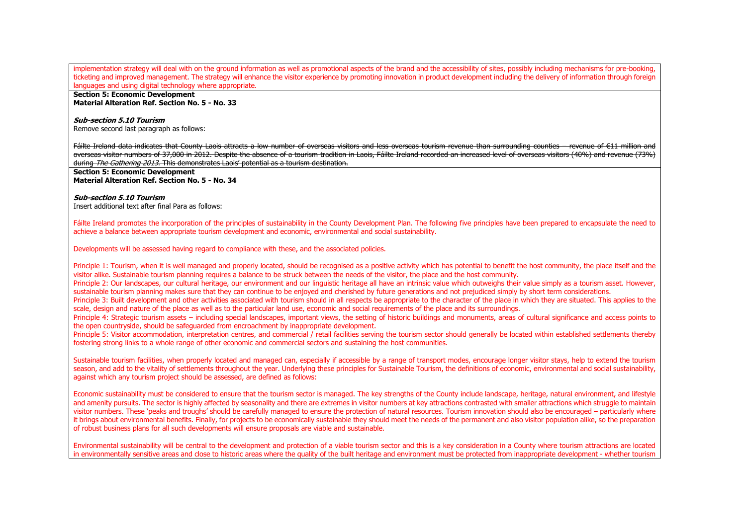implementation strategy will deal with on the ground information as well as promotional aspects of the brand and the accessibility of sites, possibly including mechanisms for pre-booking, ticketing and improved management. The strategy will enhance the visitor experience by promoting innovation in product development including the delivery of information through foreign languages and using digital technology where appropriate.

**Section 5: Economic Development Material Alteration Ref. Section No. 5 - No. 33**

# **Sub-section 5.10 Tourism**

Remove second last paragraph as follows:

Fáilte Ireland data indicates that County Laois attracts a low number of overseas visitors and less overseas tourism revenue than surrounding counties – revenue of €11 million and overseas visitor numbers of 37,000 in 2012. Despite the absence of a tourism tradition in Laois, Fáilte Ireland recorded an increased level of overseas visitors (40%) and revenue (73%) during *The Gathering 2013*. This demonstrates Laois' potential as a tourism destination.

#### **Section 5: Economic Development Material Alteration Ref. Section No. 5 - No. 34**

#### **Sub-section 5.10 Tourism**

Insert additional text after final Para as follows:

Fáilte Ireland promotes the incorporation of the principles of sustainability in the County Development Plan. The following five principles have been prepared to encapsulate the need to achieve a balance between appropriate tourism development and economic, environmental and social sustainability.

Developments will be assessed having regard to compliance with these, and the associated policies.

Principle 1: Tourism, when it is well managed and properly located, should be recognised as a positive activity which has potential to benefit the host community, the place itself and the visitor alike. Sustainable tourism planning requires a balance to be struck between the needs of the visitor, the place and the host community.

Principle 2: Our landscapes, our cultural heritage, our environment and our linguistic heritage all have an intrinsic value which outweighs their value simply as a tourism asset. However, sustainable tourism planning makes sure that they can continue to be enjoyed and cherished by future generations and not prejudiced simply by short term considerations.

Principle 3: Built development and other activities associated with tourism should in all respects be appropriate to the character of the place in which they are situated. This applies to the scale, design and nature of the place as well as to the particular land use, economic and social requirements of the place and its surroundings.

Principle 4: Strategic tourism assets – including special landscapes, important views, the setting of historic buildings and monuments, areas of cultural significance and access points to the open countryside, should be safeguarded from encroachment by inappropriate development.

Principle 5: Visitor accommodation, interpretation centres, and commercial / retail facilities serving the tourism sector should generally be located within established settlements thereby fostering strong links to a whole range of other economic and commercial sectors and sustaining the host communities.

Sustainable tourism facilities, when properly located and managed can, especially if accessible by a range of transport modes, encourage longer visitor stays, help to extend the tourism season, and add to the vitality of settlements throughout the year. Underlying these principles for Sustainable Tourism, the definitions of economic, environmental and social sustainability. against which any tourism project should be assessed, are defined as follows:

Economic sustainability must be considered to ensure that the tourism sector is managed. The key strengths of the County include landscape, heritage, natural environment, and lifestyle and amenity pursuits. The sector is highly affected by seasonality and there are extremes in visitor numbers at key attractions contrasted with smaller attractions which struggle to maintain visitor numbers. These 'peaks and troughs' should be carefully managed to ensure the protection of natural resources. Tourism innovation should also be encouraged – particularly where it brings about environmental benefits. Finally, for projects to be economically sustainable they should meet the needs of the permanent and also visitor population alike, so the preparation of robust business plans for all such developments will ensure proposals are viable and sustainable.

Environmental sustainability will be central to the development and protection of a viable tourism sector and this is a key consideration in a County where tourism attractions are located in environmentally sensitive areas and close to historic areas where the quality of the built heritage and environment must be protected from inappropriate development - whether tourism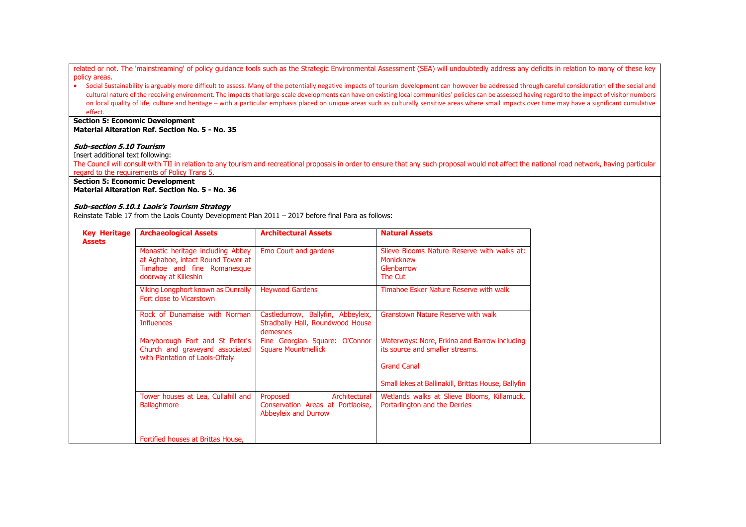related or not. The 'mainstreaming' of policy guidance tools such as the Strategic Environmental Assessment (SEA) will undoubtedly address any deficits in relation to many of these key policy areas.

• Social Sustainability is arguably more difficult to assess. Many of the potentially negative impacts of tourism development can however be addressed through careful consideration of the social and cultural nature of the receiving environment. The impacts that large-scale developments can have on existing local communities' policies can be assessed having regard to the impact of visitor numbers on local quality of life, culture and heritage – with a particular emphasis placed on unique areas such as culturally sensitive areas where small impacts over time may have a significant cumulative effect.

#### **Section 5: Economic Development Material Alteration Ref. Section No. 5 - No. 35**

# **Sub-section 5.10 Tourism**

Insert additional text following:

The Council will consult with TII in relation to any tourism and recreational proposals in order to ensure that any such proposal would not affect the national road network, having particular regard to the requirements of Policy Trans 5.

# **Section 5: Economic Development**

**Material Alteration Ref. Section No. 5 - No. 36**

#### **Sub-section 5.10.1 Laois's Tourism Strategy**

Reinstate Table 17 from the Laois County Development Plan 2011 – 2017 before final Para as follows:

| <b>Key Heritage</b><br><b>Assets</b> | <b>Archaeological Assets</b>                                                                                                  | <b>Architectural Assets</b>                                                                   | <b>Natural Assets</b>                                                             |
|--------------------------------------|-------------------------------------------------------------------------------------------------------------------------------|-----------------------------------------------------------------------------------------------|-----------------------------------------------------------------------------------|
|                                      | Monastic heritage including Abbey<br>at Aghaboe, intact Round Tower at<br>Timahoe and fine Romanesque<br>doorway at Killeshin | Emo Court and gardens                                                                         | Slieve Blooms Nature Reserve with walks at:<br>Monicknew<br>Glenbarrow<br>The Cut |
|                                      | Viking Longphort known as Dunrally<br>Fort close to Vicarstown                                                                | <b>Heywood Gardens</b>                                                                        | Timahoe Esker Nature Reserve with walk                                            |
|                                      | Rock of Dunamaise with Norman<br><b>Influences</b>                                                                            | Castledurrow, Ballyfin, Abbeyleix,<br>Stradbally Hall, Roundwood House<br>demesnes            | Granstown Nature Reserve with walk                                                |
|                                      | Maryborough Fort and St Peter's<br>Church and graveyard associated<br>with Plantation of Laois-Offaly                         | Fine Georgian Square: O'Connor<br><b>Square Mountmellick</b>                                  | Waterways: Nore, Erkina and Barrow including<br>its source and smaller streams.   |
|                                      |                                                                                                                               |                                                                                               | <b>Grand Canal</b>                                                                |
|                                      |                                                                                                                               |                                                                                               | Small lakes at Ballinakill, Brittas House, Ballyfin                               |
|                                      | Tower houses at Lea, Cullahill and<br><b>Ballaghmore</b>                                                                      | Architectural<br>Proposed<br>Conservation Areas at Portlaoise,<br><b>Abbeyleix and Durrow</b> | Wetlands walks at Slieve Blooms, Killamuck,<br>Portarlington and the Derries      |
|                                      | Fortified houses at Brittas House,                                                                                            |                                                                                               |                                                                                   |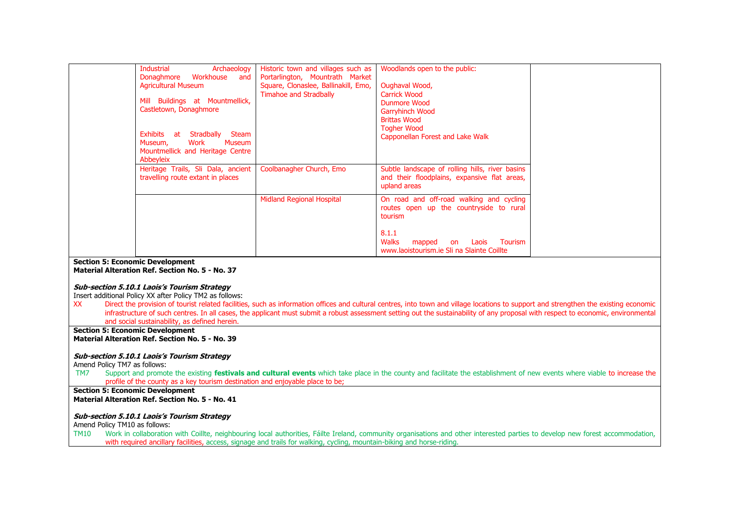| Industrial<br>Archaeology<br>Workhouse<br>Donaghmore<br>and<br><b>Agricultural Museum</b><br>Mill Buildings at Mountmellick,<br>Castletown, Donaghmore<br>Stradbally<br>Steam<br>Exhibits<br>at<br>Work<br>Museum<br>Museum,<br>Mountmellick and Heritage Centre | Historic town and villages such as<br>Portarlington, Mountrath Market<br>Square, Clonaslee, Ballinakill, Emo,<br><b>Timahoe and Stradbally</b> | Woodlands open to the public:<br>Oughaval Wood,<br><b>Carrick Wood</b><br>Dunmore Wood<br><b>Garryhinch Wood</b><br><b>Brittas Wood</b><br><b>Togher Wood</b><br>Capponellan Forest and Lake Walk |
|------------------------------------------------------------------------------------------------------------------------------------------------------------------------------------------------------------------------------------------------------------------|------------------------------------------------------------------------------------------------------------------------------------------------|---------------------------------------------------------------------------------------------------------------------------------------------------------------------------------------------------|
| Abbeyleix<br>Heritage Trails, Sli Dala, ancient<br>travelling route extant in places                                                                                                                                                                             | Coolbanagher Church, Emo                                                                                                                       | Subtle landscape of rolling hills, river basins<br>and their floodplains, expansive flat areas,                                                                                                   |
|                                                                                                                                                                                                                                                                  |                                                                                                                                                | upland areas                                                                                                                                                                                      |
|                                                                                                                                                                                                                                                                  | <b>Midland Regional Hospital</b>                                                                                                               | On road and off-road walking and cycling<br>routes open up the countryside to rural<br>tourism                                                                                                    |
|                                                                                                                                                                                                                                                                  |                                                                                                                                                | 8.1.1<br><b>Walks</b><br><b>Tourism</b><br>Laois<br>mapped<br>on<br>www.laoistourism.je Sli na Slainte Coillte                                                                                    |

# **Section 5: Economic Development**

**Material Alteration Ref. Section No. 5 - No. 37**

#### **Sub-section 5.10.1 Laois's Tourism Strategy**

Insert additional Policy XX after Policy TM2 as follows:

XX Direct the provision of tourist related facilities, such as information offices and cultural centres, into town and village locations to support and strengthen the existing economic infrastructure of such centres. In all cases, the applicant must submit a robust assessment setting out the sustainability of any proposal with respect to economic, environmental and social sustainability, as defined herein.

#### **Section 5: Economic Development Material Alteration Ref. Section No. 5 - No. 39**

#### **Sub-section 5.10.1 Laois's Tourism Strategy**

Amend Policy TM7 as follows:

TM7 Support and promote the existing **festivals and cultural events** which take place in the county and facilitate the establishment of new events where viable to increase the profile of the county as a key tourism destination and enjoyable place to be;

# **Section 5: Economic Development**

**Material Alteration Ref. Section No. 5 - No. 41**

#### **Sub-section 5.10.1 Laois's Tourism Strategy**

Amend Policy TM10 as follows:<br>TM10 Work in collaboration

Work in collaboration with Coillte, neighbouring local authorities, Fáilte Ireland, community organisations and other interested parties to develop new forest accommodation, with required ancillary facilities, access, signage and trails for walking, cycling, mountain-biking and horse-riding.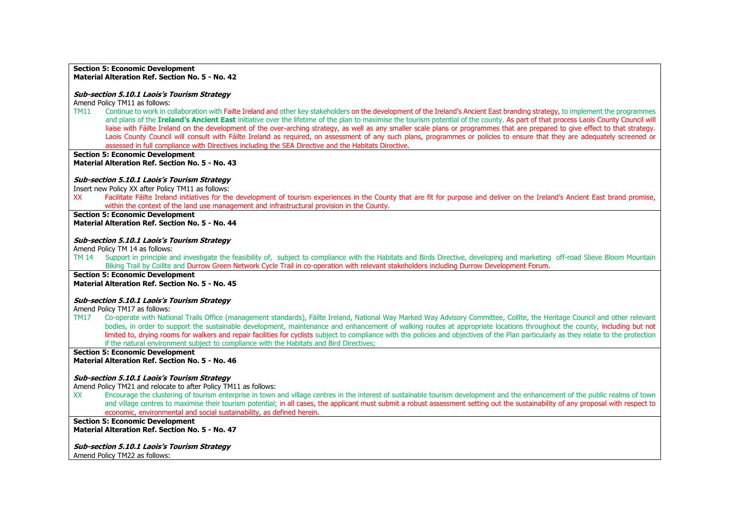#### **Section 5: Economic Development Material Alteration Ref. Section No. 5 - No. 42**

#### **Sub-section 5.10.1 Laois's Tourism Strategy**

Amend Policy TM11 as follows:

TM11 Continue to work in collaboration with Failte Ireland and other key stakeholders on the development of the Ireland's Ancient East branding strategy, to implement the programmes and plans of the **Ireland's Ancient East** initiative over the lifetime of the plan to maximise the tourism potential of the county. As part of that process Laois County Council will liaise with Fáilte Ireland on the development of the over-arching strategy, as well as any smaller scale plans or programmes that are prepared to give effect to that strategy. Laois County Council will consult with Fáilte Ireland as required, on assessment of any such plans, programmes or policies to ensure that they are adequately screened or assessed in full compliance with Directives including the SEA Directive and the Habitats Directive.

**Section 5: Economic Development Material Alteration Ref. Section No. 5 - No. 43**

#### **Sub-section 5.10.1 Laois's Tourism Strategy**

Insert new Policy XX after Policy TM11 as follows:

XX Facilitate Fáilte Ireland initiatives for the development of tourism experiences in the County that are fit for purpose and deliver on the Ireland's Ancient East brand promise, within the context of the land use management and infrastructural provision in the County.

# **Section 5: Economic Development**

**Material Alteration Ref. Section No. 5 - No. 44**

#### **Sub-section 5.10.1 Laois's Tourism Strategy**

Amend Policy TM 14 as follows:

- TM 14 Support in principle and investigate the feasibility of, subject to compliance with the Habitats and Birds Directive, developing and marketing off-road Slieve Bloom Mountain Biking Trail by Coillte and Durrow Green Network Cycle Trail in co-operation with relevant stakeholders including Durrow Development Forum.
- **Section 5: Economic Development**

**Material Alteration Ref. Section No. 5 - No. 45**

#### **Sub-section 5.10.1 Laois's Tourism Strategy**

Amend Policy TM17 as follows:

TM17 Co-operate with National Trails Office (management standards), Fáilte Ireland, National Way Marked Way Advisory Committee, Coillte, the Heritage Council and other relevant bodies, in order to support the sustainable development, maintenance and enhancement of walking routes at appropriate locations throughout the county, including but not limited to, drying rooms for walkers and repair facilities for cyclists subject to compliance with the policies and objectives of the Plan particularly as they relate to the protection if the natural environment subject to compliance with the Habitats and Bird Directives;

**Section 5: Economic Development**

**Material Alteration Ref. Section No. 5 - No. 46**

#### **Sub-section 5.10.1 Laois's Tourism Strategy**

Amend Policy TM21 and relocate to after Policy TM11 as follows:

XX Encourage the clustering of tourism enterprise in town and village centres in the interest of sustainable tourism development and the enhancement of the public realms of town and village centres to maximise their tourism potential; in all cases, the applicant must submit a robust assessment setting out the sustainability of any proposal with respect to economic, environmental and social sustainability, as defined herein.

#### **Section 5: Economic Development Material Alteration Ref. Section No. 5 - No. 47**

**Sub-section 5.10.1 Laois's Tourism Strategy** Amend Policy TM22 as follows: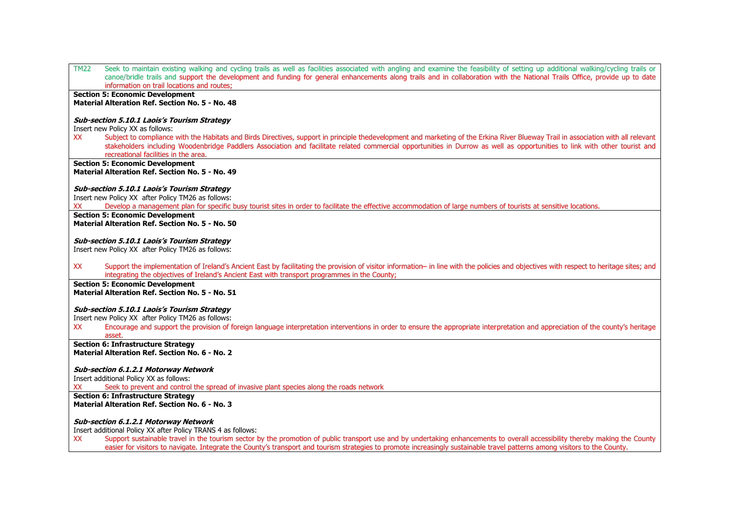| TM22<br>Seek to maintain existing walking and cycling trails as well as facilities associated with angling and examine the feasibility of setting up additional walking/cycling trails or            |
|------------------------------------------------------------------------------------------------------------------------------------------------------------------------------------------------------|
| canoe/bridle trails and support the development and funding for general enhancements along trails and in collaboration with the National Trails Office, provide up to date                           |
| information on trail locations and routes;                                                                                                                                                           |
| <b>Section 5: Economic Development</b>                                                                                                                                                               |
| Material Alteration Ref. Section No. 5 - No. 48                                                                                                                                                      |
| <b>Sub-section 5.10.1 Laois's Tourism Strategy</b>                                                                                                                                                   |
| Insert new Policy XX as follows:                                                                                                                                                                     |
| Subject to compliance with the Habitats and Birds Directives, support in principle thedevelopment and marketing of the Erkina River Blueway Trail in association with all relevant<br><b>XX</b>      |
| stakeholders including Woodenbridge Paddlers Association and facilitate related commercial opportunities in Durrow as well as opportunities to link with other tourist and                           |
| recreational facilities in the area.                                                                                                                                                                 |
| <b>Section 5: Economic Development</b><br>Material Alteration Ref. Section No. 5 - No. 49                                                                                                            |
|                                                                                                                                                                                                      |
| <b>Sub-section 5.10.1 Laois's Tourism Strategy</b>                                                                                                                                                   |
| Insert new Policy XX after Policy TM26 as follows:                                                                                                                                                   |
| Develop a management plan for specific busy tourist sites in order to facilitate the effective accommodation of large numbers of tourists at sensitive locations.<br>XХ                              |
| <b>Section 5: Economic Development</b>                                                                                                                                                               |
| Material Alteration Ref. Section No. 5 - No. 50                                                                                                                                                      |
| <b>Sub-section 5.10.1 Laois's Tourism Strategy</b>                                                                                                                                                   |
| Insert new Policy XX after Policy TM26 as follows:                                                                                                                                                   |
|                                                                                                                                                                                                      |
| <b>XX</b><br>Support the implementation of Ireland's Ancient East by facilitating the provision of visitor information- in line with the policies and objectives with respect to heritage sites; and |
| integrating the objectives of Ireland's Ancient East with transport programmes in the County;                                                                                                        |
| <b>Section 5: Economic Development</b>                                                                                                                                                               |
| Material Alteration Ref. Section No. 5 - No. 51                                                                                                                                                      |
| <b>Sub-section 5.10.1 Laois's Tourism Strategy</b>                                                                                                                                                   |
| Insert new Policy XX after Policy TM26 as follows:                                                                                                                                                   |
| Encourage and support the provision of foreign language interpretation interventions in order to ensure the appropriate interpretation and appreciation of the county's heritage<br>XX               |
| asset.                                                                                                                                                                                               |
| <b>Section 6: Infrastructure Strategy</b>                                                                                                                                                            |
| Material Alteration Ref. Section No. 6 - No. 2                                                                                                                                                       |
| <b>Sub-section 6.1.2.1 Motorway Network</b>                                                                                                                                                          |
| Insert additional Policy XX as follows:                                                                                                                                                              |
| Seek to prevent and control the spread of invasive plant species along the roads network<br>xх                                                                                                       |
| <b>Section 6: Infrastructure Strategy</b>                                                                                                                                                            |
| Material Alteration Ref. Section No. 6 - No. 3                                                                                                                                                       |
|                                                                                                                                                                                                      |
| <b>Sub-section 6.1.2.1 Motorway Network</b><br>Insert additional Policy XX after Policy TRANS 4 as follows:                                                                                          |
| Support sustainable travel in the tourism sector by the promotion of public transport use and by undertaking enhancements to overall accessibility thereby making the County<br>XX                   |
|                                                                                                                                                                                                      |

easier for visitors to navigate. Integrate the County's transport and tourism strategies to promote increasingly sustainable travel patterns among visitors to the County.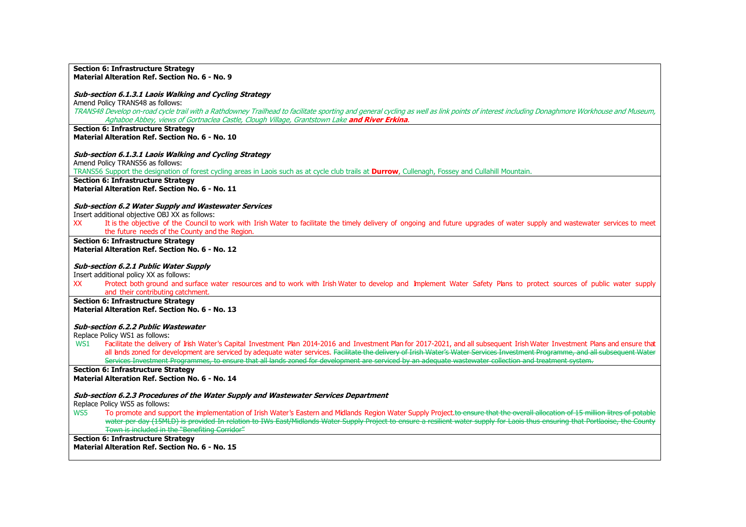#### **Section 6: Infrastructure Strategy Material Alteration Ref. Section No. 6 - No. 9**

#### **Sub-section 6.1.3.1 Laois Walking and Cycling Strategy**

Amend Policy TRANS48 as follows:

TRANS48 Develop on-road cycle trail with a Rathdowney Trailhead to facilitate sporting and general cycling as well as link points of interest including Donaghmore Workhouse and Museum, Aghaboe Abbey, views of Gortnaclea Castle, Clough Village, Grantstown Lake **and River Erkina**.

**Section 6: Infrastructure Strategy Material Alteration Ref. Section No. 6 - No. 10**

#### **Sub-section 6.1.3.1 Laois Walking and Cycling Strategy**

Amend Policy TRANS56 as follows:

TRANS56 Support the designation of forest cycling areas in Laois such as at cycle club trails at **Durrow**, Cullenagh, Fossey and Cullahill Mountain.

**Section 6: Infrastructure Strategy**

**Material Alteration Ref. Section No. 6 - No. 11**

#### **Sub-section 6.2 Water Supply and Wastewater Services**

Insert additional objective OBJ XX as follows:

XX It is the objective of the Council to work with Irish Water to facilitate the timely delivery of ongoing and future upgrades of water supply and wastewater services to meet the future needs of the County and the Region.

#### **Section 6: Infrastructure Strategy Material Alteration Ref. Section No. 6 - No. 12**

#### **Sub-section 6.2.1 Public Water Supply**

Insert additional policy XX as follows:

XX Protect both ground and surface water resources and to work with Irish Water to develop and Implement Water Safety Plans to protect sources of public water supply and their contributing catchment.

#### **Section 6: Infrastructure Strategy Material Alteration Ref. Section No. 6 - No. 13**

#### **Sub-section 6.2.2 Public Wastewater**

Replace Policy WS1 as follows:

WS1 Facilitate the delivery of Irish Water's Capital Investment Plan 2014-2016 and Investment Plan for 2017-2021, and all subsequent Irish Water Investment Plans and ensure that all lands zoned for development are serviced by adequate water services. Facilitate the delivery of Irish Water's Water Services Investment Programme, and all subsequent Water Services Investment Programmes, to ensure that all lands zoned for development are serviced by an adequate wastewater collection and treatment system.

# **Section 6: Infrastructure Strategy**

**Material Alteration Ref. Section No. 6 - No. 14**

#### **Sub-section 6.2.3 Procedures of the Water Supply and Wastewater Services Department**

Replace Policy WS5 as follows:

WS5 To promote and support the implementation of Irish Water's Eastern and Midlands Region Water Supply Project.to ensure that the overall allocation of 15 million litres of potable water per day (15MLD) is provided In relation to IWs East/Midlands Water Supply Project to ensure a resilient water supply for Laois thus ensuring that Portlaoise, the County Town is included in the "Benefiting Corridor"

**Section 6: Infrastructure Strategy Material Alteration Ref. Section No. 6 - No. 15**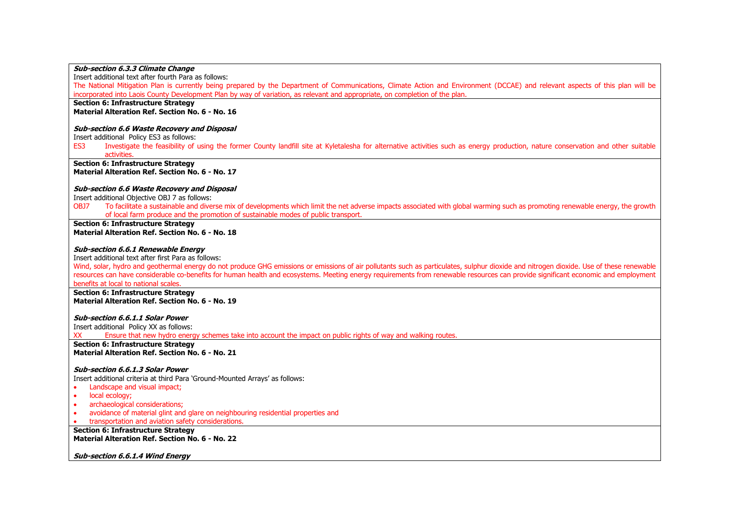| <b>Sub-section 6.3.3 Climate Change</b>                                                                                                                                                                                                        |
|------------------------------------------------------------------------------------------------------------------------------------------------------------------------------------------------------------------------------------------------|
| Insert additional text after fourth Para as follows:                                                                                                                                                                                           |
| The National Mitigation Plan is currently being prepared by the Department of Communications, Climate Action and Environment (DCCAE) and relevant aspects of this plan will be                                                                 |
| incorporated into Laois County Development Plan by way of variation, as relevant and appropriate, on completion of the plan.                                                                                                                   |
| <b>Section 6: Infrastructure Strategy</b>                                                                                                                                                                                                      |
| Material Alteration Ref. Section No. 6 - No. 16                                                                                                                                                                                                |
|                                                                                                                                                                                                                                                |
| Sub-section 6.6 Waste Recovery and Disposal                                                                                                                                                                                                    |
| Insert additional Policy ES3 as follows:                                                                                                                                                                                                       |
| Investigate the feasibility of using the former County landfill site at Kyletalesha for alternative activities such as energy production, nature conservation and other suitable<br>ES3                                                        |
| activities.                                                                                                                                                                                                                                    |
| <b>Section 6: Infrastructure Strategy</b>                                                                                                                                                                                                      |
| Material Alteration Ref. Section No. 6 - No. 17                                                                                                                                                                                                |
|                                                                                                                                                                                                                                                |
| <b>Sub-section 6.6 Waste Recovery and Disposal</b>                                                                                                                                                                                             |
| Insert additional Objective OBJ 7 as follows:                                                                                                                                                                                                  |
| To facilitate a sustainable and diverse mix of developments which limit the net adverse impacts associated with global warming such as promoting renewable energy, the growth<br>OBJ7                                                          |
| of local farm produce and the promotion of sustainable modes of public transport.                                                                                                                                                              |
| <b>Section 6: Infrastructure Strategy</b>                                                                                                                                                                                                      |
| Material Alteration Ref. Section No. 6 - No. 18                                                                                                                                                                                                |
|                                                                                                                                                                                                                                                |
| <b>Sub-section 6.6.1 Renewable Energy</b>                                                                                                                                                                                                      |
| Insert additional text after first Para as follows:<br>Wind, solar, hydro and geothermal energy do not produce GHG emissions or emissions of air pollutants such as particulates, sulphur dioxide and nitrogen dioxide. Use of these renewable |
| resources can have considerable co-benefits for human health and ecosystems. Meeting energy requirements from renewable resources can provide significant economic and employment                                                              |
| benefits at local to national scales.                                                                                                                                                                                                          |
| <b>Section 6: Infrastructure Strategy</b>                                                                                                                                                                                                      |
| Material Alteration Ref. Section No. 6 - No. 19                                                                                                                                                                                                |
|                                                                                                                                                                                                                                                |
| <b>Sub-section 6.6.1.1 Solar Power</b>                                                                                                                                                                                                         |
| Insert additional Policy XX as follows:                                                                                                                                                                                                        |
| Ensure that new hydro energy schemes take into account the impact on public rights of way and walking routes.<br>XX                                                                                                                            |
| <b>Section 6: Infrastructure Strategy</b>                                                                                                                                                                                                      |
| Material Alteration Ref. Section No. 6 - No. 21                                                                                                                                                                                                |
|                                                                                                                                                                                                                                                |
| Sub-section 6.6.1.3 Solar Power                                                                                                                                                                                                                |
| Insert additional criteria at third Para 'Ground-Mounted Arrays' as follows:                                                                                                                                                                   |
| Landscape and visual impact;                                                                                                                                                                                                                   |
| local ecology;<br>$\bullet$                                                                                                                                                                                                                    |
| archaeological considerations;<br>$\bullet$                                                                                                                                                                                                    |
| avoidance of material glint and glare on neighbouring residential properties and<br>$\bullet$                                                                                                                                                  |
| transportation and aviation safety considerations.                                                                                                                                                                                             |
| <b>Section 6: Infrastructure Strategy</b>                                                                                                                                                                                                      |
| Material Alteration Ref. Section No. 6 - No. 22                                                                                                                                                                                                |

**Sub-section 6.6.1.4 Wind Energy**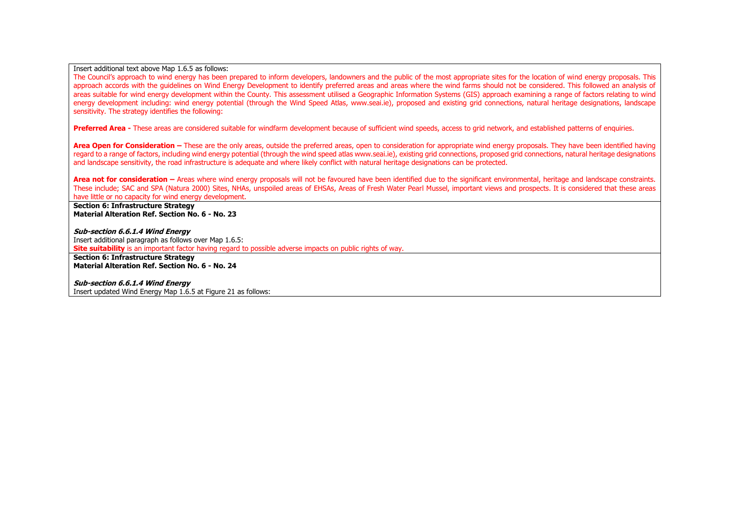Insert additional text above Map 1.6.5 as follows:

The Council's approach to wind energy has been prepared to inform developers, landowners and the public of the most appropriate sites for the location of wind energy proposals. This approach accords with the guidelines on Wind Energy Development to identify preferred areas and areas where the wind farms should not be considered. This followed an analysis of areas suitable for wind energy development within the County. This assessment utilised a Geographic Information Systems (GIS) approach examining a range of factors relating to wind energy development including: wind energy potential (through the Wind Speed Atlas, www.seai.ie), proposed and existing grid connections, natural heritage designations, landscape sensitivity. The strategy identifies the following:

**Preferred Area -** These areas are considered suitable for windfarm development because of sufficient wind speeds, access to grid network, and established patterns of enguiries.

**Area Open for Consideration –** These are the only areas, outside the preferred areas, open to consideration for appropriate wind energy proposals. They have been identified having regard to a range of factors, including wind energy potential (through the wind speed atlas www.seai.ie), existing grid connections, proposed grid connections, natural heritage designations and landscape sensitivity, the road infrastructure is adequate and where likely conflict with natural heritage designations can be protected.

**Area not for consideration –** Areas where wind energy proposals will not be favoured have been identified due to the significant environmental, heritage and landscape constraints. These include; SAC and SPA (Natura 2000) Sites, NHAs, unspoiled areas of EHSAs, Areas of Fresh Water Pearl Mussel, important views and prospects. It is considered that these areas have little or no capacity for wind energy development.

**Section 6: Infrastructure Strategy Material Alteration Ref. Section No. 6 - No. 23**

**Sub-section 6.6.1.4 Wind Energy** Insert additional paragraph as follows over Map 1.6.5: **Site suitability** is an important factor having regard to possible adverse impacts on public rights of way.

**Section 6: Infrastructure Strategy Material Alteration Ref. Section No. 6 - No. 24**

**Sub-section 6.6.1.4 Wind Energy** Insert updated Wind Energy Map 1.6.5 at Figure 21 as follows: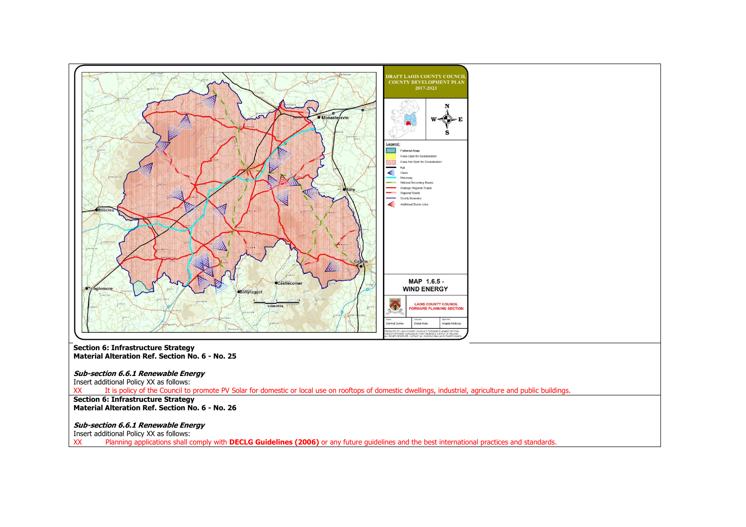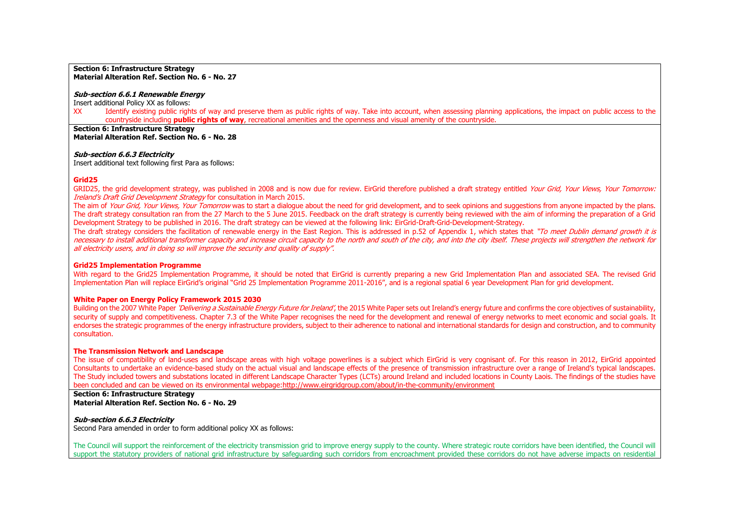#### **Section 6: Infrastructure Strategy Material Alteration Ref. Section No. 6 - No. 27**

#### **Sub-section 6.6.1 Renewable Energy**

Insert additional Policy XX as follows:

XX Identify existing public rights of way and preserve them as public rights of way. Take into account, when assessing planning applications, the impact on public access to the countryside including **public rights of way**, recreational amenities and the openness and visual amenity of the countryside.

**Section 6: Infrastructure Strategy Material Alteration Ref. Section No. 6 - No. 28**

#### **Sub-section 6.6.3 Electricity**

Insert additional text following first Para as follows:

# **Grid25**

GRID25, the grid development strategy, was published in 2008 and is now due for review. EirGrid therefore published a draft strategy entitled Your Grid, Your Views, Your Tomorrow: Ireland's Draft Grid Development Strategy for consultation in March 2015.

The aim of Your Grid, Your Views, Your Tomorrow was to start a dialoque about the need for grid development, and to seek opinions and suggestions from anyone impacted by the plans. The draft strategy consultation ran from the 27 March to the 5 June 2015. Feedback on the draft strategy is currently being reviewed with the aim of informing the preparation of a Grid Development Strategy to be published in 2016. The draft strategy can be viewed at the following link: EirGrid-Draft-Grid-Development-Strategy.

The draft strategy considers the facilitation of renewable energy in the East Region. This is addressed in p.52 of Appendix 1, which states that "To meet Dublin demand growth it is necessary to install additional transformer capacity and increase circuit capacity to the north and south of the city, and into the city itself. These projects will strengthen the network for all electricity users, and in doing so will improve the security and quality of supply".

#### **Grid25 Implementation Programme**

With regard to the Grid25 Implementation Programme, it should be noted that EirGrid is currently preparing a new Grid Implementation Plan and associated SEA. The revised Grid Implementation Plan will replace EirGrid's original "Grid 25 Implementation Programme 2011-2016", and is a regional spatial 6 year Development Plan for grid development.

#### **White Paper on Energy Policy Framework 2015 2030**

Building on the 2007 White Paper *'Delivering a Sustainable Energy Future for Ireland'*, the 2015 White Paper sets out Ireland's energy future and confirms the core objectives of sustainability, security of supply and competitiveness. Chapter 7.3 of the White Paper recognises the need for the development and renewal of energy networks to meet economic and social goals. It endorses the strategic programmes of the energy infrastructure providers, subject to their adherence to national and international standards for design and construction, and to community consultation.

#### **The Transmission Network and Landscape**

The issue of compatibility of land-uses and landscape areas with high voltage powerlines is a subject which EirGrid is very cognisant of. For this reason in 2012, EirGrid appointed Consultants to undertake an evidence-based study on the actual visual and landscape effects of the presence of transmission infrastructure over a range of Ireland's typical landscapes. The Study included towers and substations located in different Landscape Character Types (LCTs) around Ireland and included locations in County Laois. The findings of the studies have been concluded and can be viewed on its environmental webpage[:http://www.eirgridgroup.com/about/in-the-community/environment](http://www.eirgridgroup.com/about/in-the-community/environment)

**Section 6: Infrastructure Strategy Material Alteration Ref. Section No. 6 - No. 29**

# **Sub-section 6.6.3 Electricity**

Second Para amended in order to form additional policy XX as follows:

The Council will support the reinforcement of the electricity transmission grid to improve energy supply to the county. Where strategic route corridors have been identified, the Council will support the statutory providers of national grid infrastructure by safeguarding such corridors from encroachment provided these corridors do not have adverse impacts on residential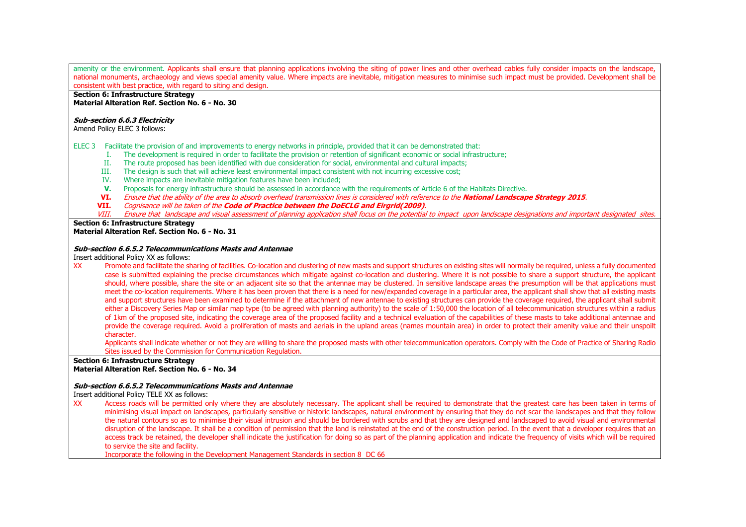amenity or the environment. Applicants shall ensure that planning applications involving the siting of power lines and other overhead cables fully consider impacts on the landscape. national monuments, archaeology and views special amenity value. Where impacts are inevitable, mitigation measures to minimise such impact must be provided. Development shall be consistent with best practice, with regard to siting and design.

# **Section 6: Infrastructure Strategy**

**Material Alteration Ref. Section No. 6 - No. 30**

#### **Sub-section 6.6.3 Electricity**

Amend Policy ELEC 3 follows:

- ELEC 3 Facilitate the provision of and improvements to energy networks in principle, provided that it can be demonstrated that:
	- I. The development is required in order to facilitate the provision or retention of significant economic or social infrastructure;
	- II. The route proposed has been identified with due consideration for social, environmental and cultural impacts;
	- III. The design is such that will achieve least environmental impact consistent with not incurring excessive cost;
	- IV. Where impacts are inevitable mitigation features have been included;
	- **V.** Proposals for energy infrastructure should be assessed in accordance with the requirements of Article 6 of the Habitats Directive.
	- **VI.** Ensure that the ability of the area to absorb overhead transmission lines is considered with reference to the **National Landscape Strategy 2015**.
	- **VII.** Cognisance will be taken of the **Code of Practice between the DoECLG and Eirgrid(2009)**.
	- VIII. Ensure that landscape and visual assessment of planning application shall focus on the potential to impact upon landscape designations and important designated sites.

#### **Section 6: Infrastructure Strategy Material Alteration Ref. Section No. 6 - No. 31**

# **Sub-section 6.6.5.2 Telecommunications Masts and Antennae**

Insert additional Policy XX as follows:

XX Promote and facilitate the sharing of facilities. Co-location and clustering of new masts and support structures on existing sites will normally be required, unless a fully documented case is submitted explaining the precise circumstances which mitigate against co-location and clustering. Where it is not possible to share a support structure, the applicant should, where possible, share the site or an adjacent site so that the antennae may be clustered. In sensitive landscape areas the presumption will be that applications must meet the co-location requirements. Where it has been proven that there is a need for new/expanded coverage in a particular area, the applicant shall show that all existing masts and support structures have been examined to determine if the attachment of new antennae to existing structures can provide the coverage required, the applicant shall submit either a Discovery Series Map or similar map type (to be agreed with planning authority) to the scale of 1:50,000 the location of all telecommunication structures within a radius of 1km of the proposed site, indicating the coverage area of the proposed facility and a technical evaluation of the capabilities of these masts to take additional antennae and provide the coverage required. Avoid a proliferation of masts and aerials in the upland areas (names mountain area) in order to protect their amenity value and their unspoilt character.

Applicants shall indicate whether or not they are willing to share the proposed masts with other telecommunication operators. Comply with the Code of Practice of Sharing Radio Sites issued by the Commission for Communication Regulation.

# **Section 6: Infrastructure Strategy Material Alteration Ref. Section No. 6 - No. 34**

#### **Sub-section 6.6.5.2 Telecommunications Masts and Antennae**

Insert additional Policy TELE XX as follows:

XX Access roads will be permitted only where they are absolutely necessary. The applicant shall be required to demonstrate that the greatest care has been taken in terms of minimising visual impact on landscapes, particularly sensitive or historic landscapes, natural environment by ensuring that they do not scar the landscapes and that they follow the natural contours so as to minimise their visual intrusion and should be bordered with scrubs and that they are designed and landscaped to avoid visual and environmental disruption of the landscape. It shall be a condition of permission that the land is reinstated at the end of the construction period. In the event that a developer requires that an access track be retained, the developer shall indicate the justification for doing so as part of the planning application and indicate the frequency of visits which will be required to service the site and facility.

Incorporate the following in the Development Management Standards in section 8 DC 66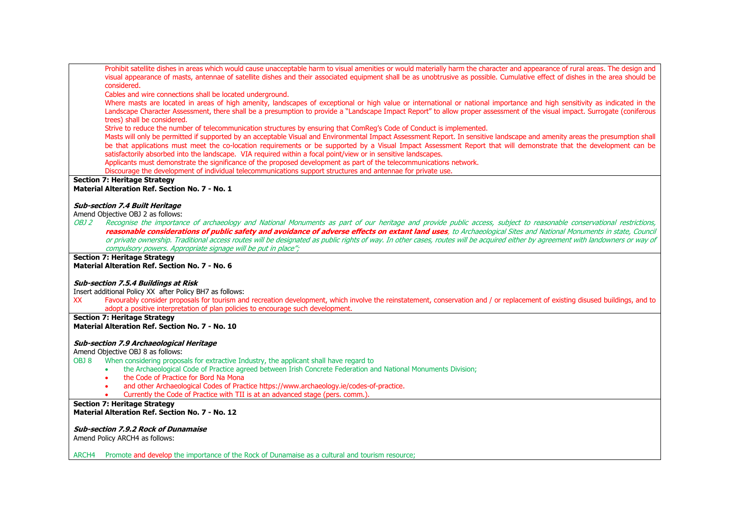Prohibit satellite dishes in areas which would cause unacceptable harm to visual amenities or would materially harm the character and appearance of rural areas. The design and visual appearance of masts, antennae of satellite dishes and their associated equipment shall be as unobtrusive as possible. Cumulative effect of dishes in the area should be considered.

Cables and wire connections shall be located underground.

Where masts are located in areas of high amenity, landscapes of exceptional or high value or international or national importance and high sensitivity as indicated in the Landscape Character Assessment, there shall be a presumption to provide a "Landscape Impact Report" to allow proper assessment of the visual impact. Surrogate (coniferous trees) shall be considered.

Strive to reduce the number of telecommunication structures by ensuring that ComReg's Code of Conduct is implemented.

Masts will only be permitted if supported by an acceptable Visual and Environmental Impact Assessment Report. In sensitive landscape and amenity areas the presumption shall be that applications must meet the co-location requirements or be supported by a Visual Impact Assessment Report that will demonstrate that the development can be satisfactorily absorbed into the landscape. VIA required within a focal point/view or in sensitive landscapes.

Applicants must demonstrate the significance of the proposed development as part of the telecommunications network.

Discourage the development of individual telecommunications support structures and antennae for private use.

# **Section 7: Heritage Strategy**

**Material Alteration Ref. Section No. 7 - No. 1**

#### **Sub-section 7.4 Built Heritage**

Amend Objective OBJ 2 as follows:

OBJ 2 Recognise the importance of archaeology and National Monuments as part of our heritage and provide public access, subject to reasonable conservational restrictions, **reasonable considerations of public safety and avoidance of adverse effects on extant land uses**, to Archaeological Sites and National Monuments in state, Council or private ownership. Traditional access routes will be designated as public rights of way. In other cases, routes will be acquired either by agreement with landowners or way of compulsory powers. Appropriate signage will be put in place":

# **Section 7: Heritage Strategy**

**Material Alteration Ref. Section No. 7 - No. 6**

#### **Sub-section 7.5.4 Buildings at Risk**

Insert additional Policy XX after Policy BH7 as follows:

XX Favourably consider proposals for tourism and recreation development, which involve the reinstatement, conservation and / or replacement of existing disused buildings, and to adopt a positive interpretation of plan policies to encourage such development.

**Section 7: Heritage Strategy Material Alteration Ref. Section No. 7 - No. 10**

#### **Sub-section 7.9 Archaeological Heritage**

Amend Objective OBJ 8 as follows:

OBJ 8 When considering proposals for extractive Industry, the applicant shall have regard to

- the Archaeological Code of Practice agreed between Irish Concrete Federation and National Monuments Division:
- the Code of Practice for Bord Na Mona
- and other Archaeological Codes of Practice https://www.archaeology.ie/codes-of-practice.
- Currently the Code of Practice with TII is at an advanced stage (pers. comm.).

**Section 7: Heritage Strategy Material Alteration Ref. Section No. 7 - No. 12**

#### **Sub-section 7.9.2 Rock of Dunamaise**

Amend Policy ARCH4 as follows:

ARCH4 Promote and develop the importance of the Rock of Dunamaise as a cultural and tourism resource;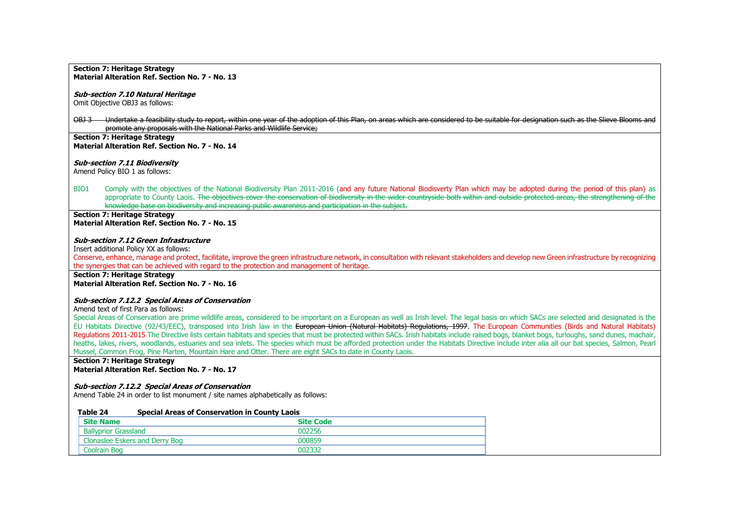#### **Sub-section 7.10 Natural Heritage**

Omit Objective OBJ3 as follows:

OBJ 3 Undertake a feasibility study to report, within one year of the adoption of this Plan, on areas which are considered to be suitable for designation such as the Slieve Blooms and promote any proposals with the National Parks and Wildlife Service;

# **Section 7: Heritage Strategy Material Alteration Ref. Section No. 7 - No. 14**

# **Sub-section 7.11 Biodiversity**

Amend Policy BIO 1 as follows:

BIO1 Comply with the objectives of the National Biodiversity Plan 2011-2016 (and any future National Biodisverty Plan which may be adopted during the period of this plan) as appropriate to County Laois. The objectives cover the conservation of biodiversity in the wider countryside both within and outside protected areas, the strengthening of the knowledge base on biodiversity and increasing public awareness and participation in the subject.

#### **Section 7: Heritage Strategy Material Alteration Ref. Section No. 7 - No. 15**

#### **Sub-section 7.12 Green Infrastructure**

Insert additional Policy XX as follows:

Conserve, enhance, manage and protect, facilitate, improve the green infrastructure network, in consultation with relevant stakeholders and develop new Green infrastructure by recognizing the synergies that can be achieved with regard to the protection and management of heritage.

**Section 7: Heritage Strategy Material Alteration Ref. Section No. 7 - No. 16**

# **Sub-section 7.12.2 Special Areas of Conservation**

Amend text of first Para as follows:

Special Areas of Conservation are prime wildlife areas, considered to be important on a European as well as Irish level. The legal basis on which SACs are selected and designated is the EU Habitats Directive (92/43/EEC), transposed into Irish law in the European Union (Natural Habitats) Regulations, 1997. The European Communities (Birds and Natural Habitats) Regulations 2011-2015 The Directive lists certain habitats and species that must be protected within SACs. Irish habitats include raised bogs, blanket bogs, turloughs, sand dunes, machair, heaths, lakes, rivers, woodlands, estuaries and sea inlets. The species which must be afforded protection under the Habitats Directive include inter alia all our bat species, Salmon, Pearl Mussel, Common Frog, Pine Marten, Mountain Hare and Otter. There are eight SACs to date in County Laois.

**Section 7: Heritage Strategy Material Alteration Ref. Section No. 7 - No. 17**

# **Sub-section 7.12.2 Special Areas of Conservation**

Amend Table 24 in order to list monument / site names alphabetically as follows:

| Table 24                    | <b>Special Areas of Conservation in County Laois</b> |                  |  |
|-----------------------------|------------------------------------------------------|------------------|--|
| <b>Site Name</b>            |                                                      | <b>Site Code</b> |  |
| <b>Ballyprior Grassland</b> |                                                      | 002256           |  |
|                             | Clonaslee Eskers and Derry Bog                       | 000859           |  |
| Coolrain Bog                |                                                      | ᲘᲘ2332           |  |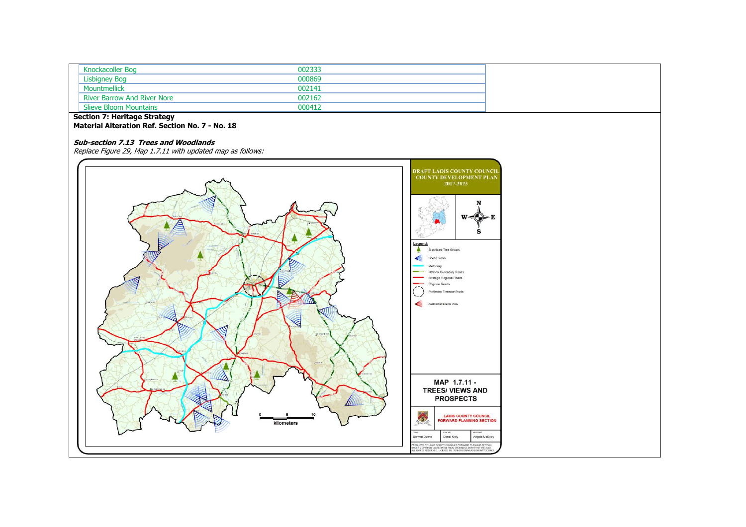| Knockacoller Bog                   | 002333 |  |
|------------------------------------|--------|--|
| <b>Lisbigney Bog</b>               | 000869 |  |
| Mountmellick                       | 002141 |  |
| <b>River Barrow And River Nore</b> | 002162 |  |
| <b>Slieve Bloom Mountains</b>      | 000412 |  |

#### **Section 7: Heritage Strategy**

**Material Alteration Ref. Section No. 7 - No. 18**

# **Sub-section 7.13 Trees and Woodlands**

Replace Figure 29, Map 1.7.11 with updated map as follows:

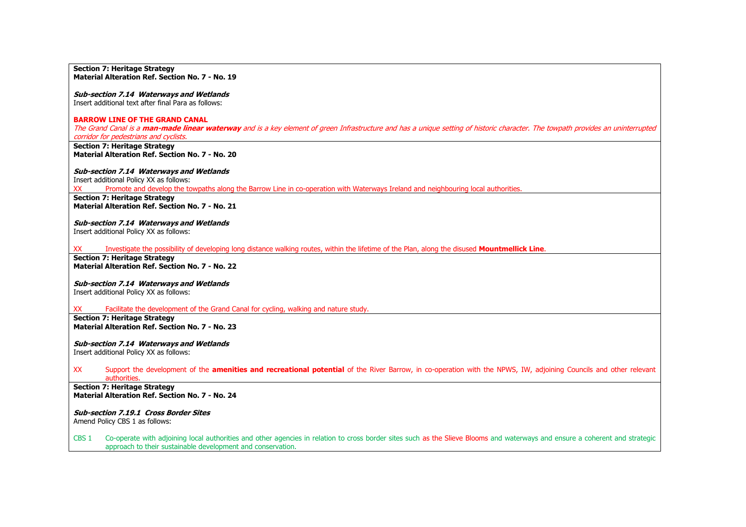#### **Sub-section 7.14 Waterways and Wetlands**

Insert additional text after final Para as follows:

#### **BARROW LINE OF THE GRAND CANAL**

The Grand Canal is a **man-made linear waterway** and is a key element of green Infrastructure and has a unique setting of historic character. The towpath provides an uninterrupted corridor for pedestrians and cyclists.

**Section 7: Heritage Strategy Material Alteration Ref. Section No. 7 - No. 20**

#### **Sub-section 7.14 Waterways and Wetlands**

Insert additional Policy XX as follows:

XX Promote and develop the towpaths along the Barrow Line in co-operation with Waterways Ireland and neighbouring local authorities.

**Section 7: Heritage Strategy Material Alteration Ref. Section No. 7 - No. 21**

**Sub-section 7.14 Waterways and Wetlands** Insert additional Policy XX as follows:

XX Investigate the possibility of developing long distance walking routes, within the lifetime of the Plan, along the disused **Mountmellick Line**.

**Section 7: Heritage Strategy Material Alteration Ref. Section No. 7 - No. 22**

#### **Sub-section 7.14 Waterways and Wetlands**

Insert additional Policy XX as follows:

XX Facilitate the development of the Grand Canal for cycling, walking and nature study.

**Section 7: Heritage Strategy Material Alteration Ref. Section No. 7 - No. 23**

**Sub-section 7.14 Waterways and Wetlands** Insert additional Policy XX as follows:

#### XX Support the development of the **amenities and recreational potential** of the River Barrow, in co-operation with the NPWS, IW, adjoining Councils and other relevant authorities.

**Section 7: Heritage Strategy Material Alteration Ref. Section No. 7 - No. 24**

**Sub-section 7.19.1 Cross Border Sites** Amend Policy CBS 1 as follows:

CBS 1 Co-operate with adjoining local authorities and other agencies in relation to cross border sites such as the Slieve Blooms and waterways and ensure a coherent and strategic approach to their sustainable development and conservation.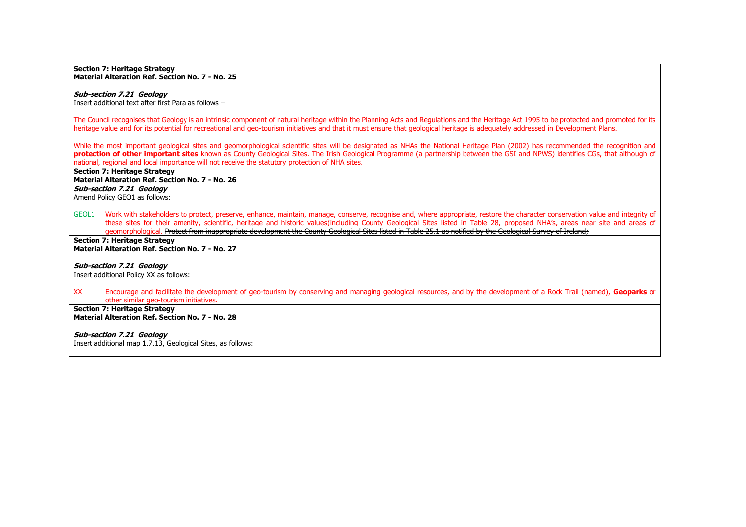# **Sub-section 7.21 Geology**

Insert additional text after first Para as follows –

The Council recognises that Geology is an intrinsic component of natural heritage within the Planning Acts and Regulations and the Heritage Act 1995 to be protected and promoted for its heritage value and for its potential for recreational and geo-tourism initiatives and that it must ensure that geological heritage is adequately addressed in Development Plans.

While the most important geological sites and geomorphological scientific sites will be designated as NHAs the National Heritage Plan (2002) has recommended the recognition and **protection of other important sites** known as County Geological Sites. The Irish Geological Programme (a partnership between the GSI and NPWS) identifies CGs, that although of national, regional and local importance will not receive the statutory protection of NHA sites.

**Section 7: Heritage Strategy Material Alteration Ref. Section No. 7 - No. 26 Sub-section 7.21 Geology** Amend Policy GEO1 as follows:

GEOL1 Work with stakeholders to protect, preserve, enhance, maintain, manage, conserve, recognise and, where appropriate, restore the character conservation value and integrity of these sites for their amenity, scientific, heritage and historic values(including County Geological Sites listed in Table 28, proposed NHA's, areas near site and areas of geomorphological. Protect from inappropriate development the County Geological Sites listed in Table 25.1 as notified by the Geological Survey of Ireland;

**Section 7: Heritage Strategy Material Alteration Ref. Section No. 7 - No. 27**

#### **Sub-section 7.21 Geology**

Insert additional Policy XX as follows:

XX Encourage and facilitate the development of geo-tourism by conserving and managing geological resources, and by the development of a Rock Trail (named), **Geoparks** or other similar geo-tourism initiatives.

**Section 7: Heritage Strategy Material Alteration Ref. Section No. 7 - No. 28**

**Sub-section 7.21 Geology**

Insert additional map 1.7.13, Geological Sites, as follows: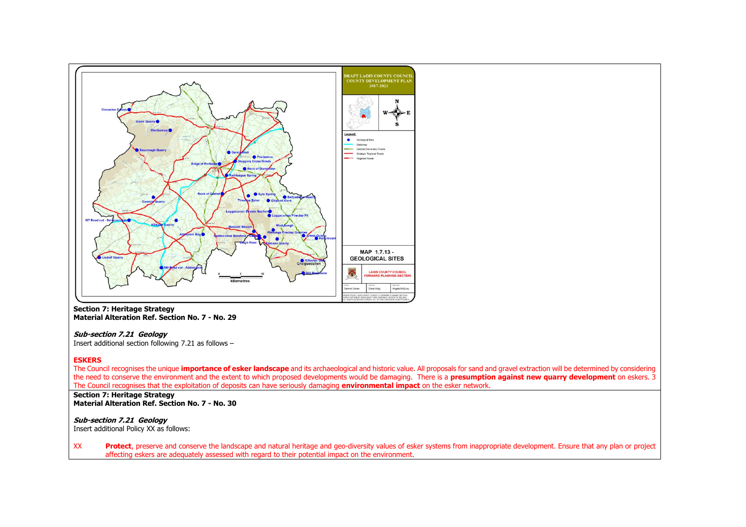

# **Sub-section 7.21 Geology**

Insert additional section following 7.21 as follows –

#### **ESKERS**

The Council recognises the unique **importance of esker landscape** and its archaeological and historic value. All proposals for sand and gravel extraction will be determined by considering the need to conserve the environment and the extent to which proposed developments would be damaging. There is a **presumption against new quarry development** on eskers. 3 The Council recognises that the exploitation of deposits can have seriously damaging **environmental impact** on the esker network.

#### **Section 7: Heritage Strategy Material Alteration Ref. Section No. 7 - No. 30**

# **Sub-section 7.21 Geology**

Insert additional Policy XX as follows:

XX **Protect**, preserve and conserve the landscape and natural heritage and geo-diversity values of esker systems from inappropriate development. Ensure that any plan or project affecting eskers are adequately assessed with regard to their potential impact on the environment.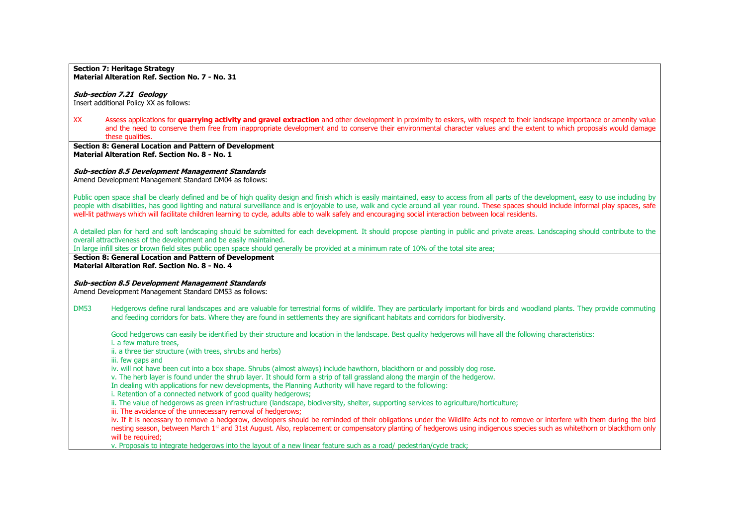# **Sub-section 7.21 Geology**

Insert additional Policy XX as follows:

XX Assess applications for **quarrying activity and gravel extraction** and other development in proximity to eskers, with respect to their landscape importance or amenity value and the need to conserve them free from inappropriate development and to conserve their environmental character values and the extent to which proposals would damage these qualities.

**Section 8: General Location and Pattern of Development Material Alteration Ref. Section No. 8 - No. 1**

#### **Sub-section 8.5 Development Management Standards**

Amend Development Management Standard DM04 as follows:

Public open space shall be clearly defined and be of high quality design and finish which is easily maintained, easy to access from all parts of the development, easy to use including by people with disabilities, has good lighting and natural surveillance and is enjoyable to use, walk and cycle around all year round. These spaces should include informal play spaces, safe well-lit pathways which will facilitate children learning to cycle, adults able to walk safely and encouraging social interaction between local residents.

A detailed plan for hard and soft landscaping should be submitted for each development. It should propose planting in public and private areas. Landscaping should contribute to the overall attractiveness of the development and be easily maintained.

In large infill sites or brown field sites public open space should generally be provided at a minimum rate of 10% of the total site area;

**Section 8: General Location and Pattern of Development Material Alteration Ref. Section No. 8 - No. 4**

#### **Sub-section 8.5 Development Management Standards**

Amend Development Management Standard DM53 as follows:

DM53 Hedgerows define rural landscapes and are valuable for terrestrial forms of wildlife. They are particularly important for birds and woodland plants. They provide commuting and feeding corridors for bats. Where they are found in settlements they are significant habitats and corridors for biodiversity.

Good hedgerows can easily be identified by their structure and location in the landscape. Best quality hedgerows will have all the following characteristics:

i. a few mature trees,

ii. a three tier structure (with trees, shrubs and herbs)

iii. few gaps and

iv. will not have been cut into a box shape. Shrubs (almost always) include hawthorn, blackthorn or and possibly dog rose.

v. The herb layer is found under the shrub layer. It should form a strip of tall grassland along the margin of the hedgerow.

In dealing with applications for new developments, the Planning Authority will have regard to the following:

i. Retention of a connected network of good quality hedgerows;

ii. The value of hedgerows as green infrastructure (landscape, biodiversity, shelter, supporting services to agriculture/horticulture;

iii. The avoidance of the unnecessary removal of hedgerows:

iv. If it is necessary to remove a hedgerow, developers should be reminded of their obligations under the Wildlife Acts not to remove or interfere with them during the bird nesting season, between March 1<sup>st</sup> and 31st August. Also, replacement or compensatory planting of hedgerows using indigenous species such as whitethorn or blackthorn only will be required;

v. Proposals to integrate hedgerows into the layout of a new linear feature such as a road/ pedestrian/cycle track;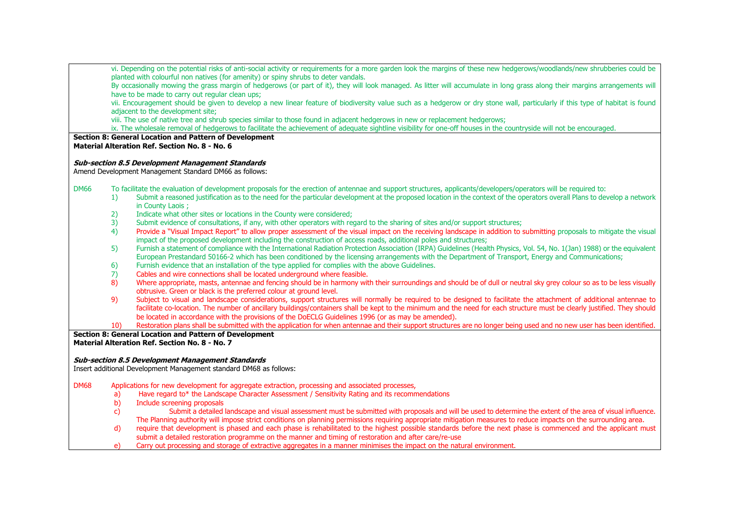vi. Depending on the potential risks of anti-social activity or requirements for a more garden look the margins of these new hedgerows/woodlands/new shrubberies could be planted with colourful non natives (for amenity) or spiny shrubs to deter vandals. By occasionally mowing the grass margin of hedgerows (or part of it), they will look managed. As litter will accumulate in long grass along their margins arrangements will have to be made to carry out regular clean ups: vii. Encouragement should be given to develop a new linear feature of biodiversity value such as a hedgerow or dry stone wall, particularly if this type of habitat is found adjacent to the development site: viii. The use of native tree and shrub species similar to those found in adjacent hedgerows in new or replacement hedgerows; ix. The wholesale removal of hedgerows to facilitate the achievement of adequate sightline visibility for one-off houses in the countryside will not be encouraged. **Section 8: General Location and Pattern of Development Material Alteration Ref. Section No. 8 - No. 6 Sub-section 8.5 Development Management Standards** Amend Development Management Standard DM66 as follows: DM66 To facilitate the evaluation of development proposals for the erection of antennae and support structures, applicants/developers/operators will be required to: 1) Submit a reasoned justification as to the need for the particular development at the proposed location in the context of the operators overall Plans to develop a network in County Laois ; 2) Indicate what other sites or locations in the County were considered; 3) Submit evidence of consultations, if any, with other operators with regard to the sharing of sites and/or support structures; 4) Provide a "Visual Impact Report" to allow proper assessment of the visual impact on the receiving landscape in addition to submitting proposals to mitigate the visual impact of the proposed development including the construction of access roads, additional poles and structures; 5) Furnish a statement of compliance with the International Radiation Protection Association (IRPA) Guidelines (Health Physics, Vol. 54, No. 1(Jan) 1988) or the equivalent European Prestandard 50166-2 which has been conditioned by the licensing arrangements with the Department of Transport, Energy and Communications; 6) Furnish evidence that an installation of the type applied for complies with the above Guidelines. 7) Cables and wire connections shall be located underground where feasible. 8) Where appropriate, masts, antennae and fencing should be in harmony with their surroundings and should be of dull or neutral sky grey colour so as to be less visually obtrusive. Green or black is the preferred colour at ground level. 9) Subject to visual and landscape considerations, support structures will normally be required to be designed to facilitate the attachment of additional antennae to facilitate co-location. The number of ancillary buildings/containers shall be kept to the minimum and the need for each structure must be clearly justified. They should be located in accordance with the provisions of the DoECLG Guidelines 1996 (or as may be amended). 10) Restoration plans shall be submitted with the application for when antennae and their support structures are no longer being used and no new user has been identified. **Section 8: General Location and Pattern of Development Material Alteration Ref. Section No. 8 - No. 7 Sub-section 8.5 Development Management Standards** Insert additional Development Management standard DM68 as follows: DM68 Applications for new development for aggregate extraction, processing and associated processes, a) Have regard to\* the Landscape Character Assessment / Sensitivity Rating and its recommendations b) Include screening proposals c) Submit a detailed landscape and visual assessment must be submitted with proposals and will be used to determine the extent of the area of visual influence. The Planning authority will impose strict conditions on planning permissions requiring appropriate mitigation measures to reduce impacts on the surrounding area. d) require that development is phased and each phase is rehabilitated to the highest possible standards before the next phase is commenced and the applicant must submit a detailed restoration programme on the manner and timing of restoration and after care/re-use e) Carry out processing and storage of extractive aggregates in a manner minimises the impact on the natural environment.